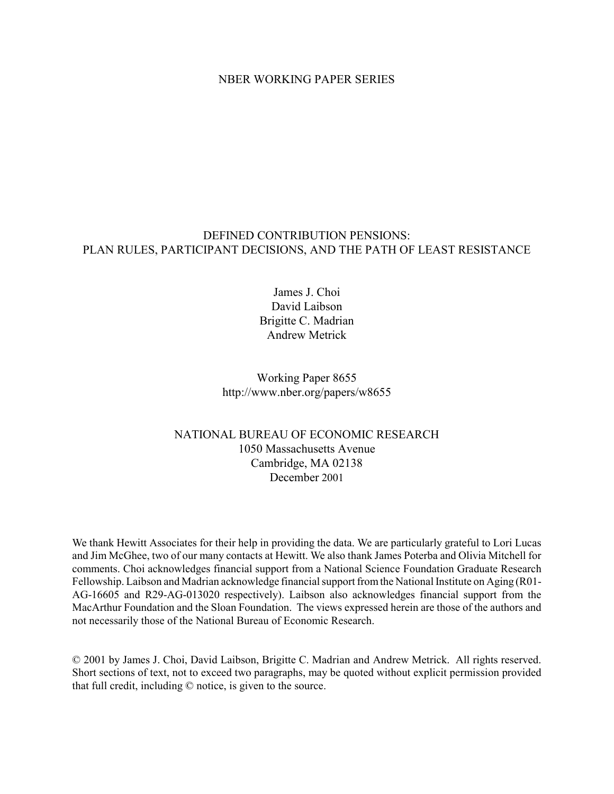#### NBER WORKING PAPER SERIES

# DEFINED CONTRIBUTION PENSIONS: PLAN RULES, PARTICIPANT DECISIONS, AND THE PATH OF LEAST RESISTANCE

James J. Choi David Laibson Brigitte C. Madrian Andrew Metrick

# Working Paper 8655 http://www.nber.org/papers/w8655

# NATIONAL BUREAU OF ECONOMIC RESEARCH 1050 Massachusetts Avenue Cambridge, MA 02138 December 2001

We thank Hewitt Associates for their help in providing the data. We are particularly grateful to Lori Lucas and Jim McGhee, two of our many contacts at Hewitt. We also thank James Poterba and Olivia Mitchell for comments. Choi acknowledges financial support from a National Science Foundation Graduate Research Fellowship. Laibson and Madrian acknowledge financial support from the National Institute on Aging (R01- AG-16605 and R29-AG-013020 respectively). Laibson also acknowledges financial support from the MacArthur Foundation and the Sloan Foundation. The views expressed herein are those of the authors and not necessarily those of the National Bureau of Economic Research.

© 2001 by James J. Choi, David Laibson, Brigitte C. Madrian and Andrew Metrick. All rights reserved. Short sections of text, not to exceed two paragraphs, may be quoted without explicit permission provided that full credit, including © notice, is given to the source.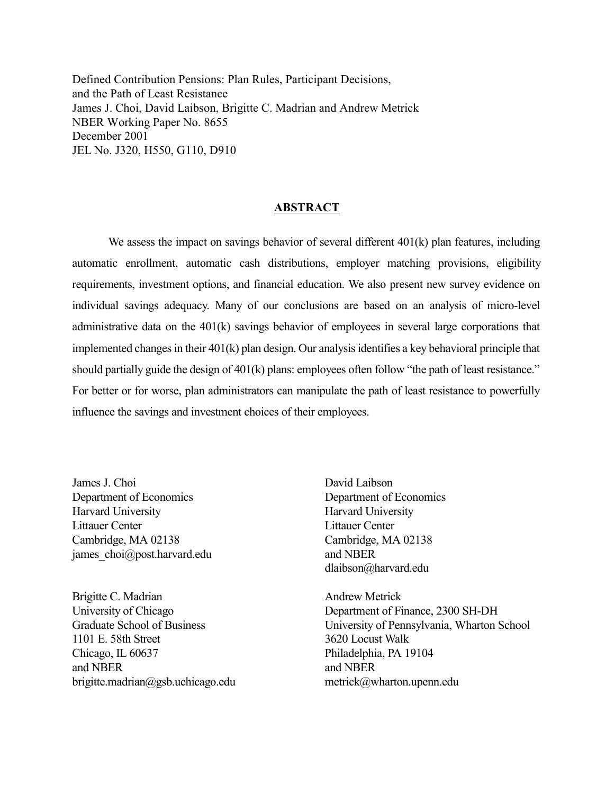Defined Contribution Pensions: Plan Rules, Participant Decisions, and the Path of Least Resistance James J. Choi, David Laibson, Brigitte C. Madrian and Andrew Metrick NBER Working Paper No. 8655 December 2001 JEL No. J320, H550, G110, D910

#### **ABSTRACT**

We assess the impact on savings behavior of several different 401(k) plan features, including automatic enrollment, automatic cash distributions, employer matching provisions, eligibility requirements, investment options, and financial education. We also present new survey evidence on individual savings adequacy. Many of our conclusions are based on an analysis of micro-level administrative data on the 401(k) savings behavior of employees in several large corporations that implemented changes in their 401(k) plan design. Our analysis identifies a key behavioral principle that should partially guide the design of 401(k) plans: employees often follow "the path of least resistance." For better or for worse, plan administrators can manipulate the path of least resistance to powerfully influence the savings and investment choices of their employees.

James J. Choi David Laibson Department of Economics Department of Economics Harvard University Harvard University Littauer Center Littauer Center Cambridge, MA 02138 Cambridge, MA 02138 james choi@post.harvard.edu and NBER

Brigitte C. Madrian Andrew Metrick 1101 E. 58th Street 3620 Locust Walk Chicago, IL 60637 Philadelphia, PA 19104 and NBER and NBER brigitte.madrian@gsb.uchicago.edu metrick@wharton.upenn.edu

dlaibson@harvard.edu

University of Chicago Department of Finance, 2300 SH-DH Graduate School of Business University of Pennsylvania, Wharton School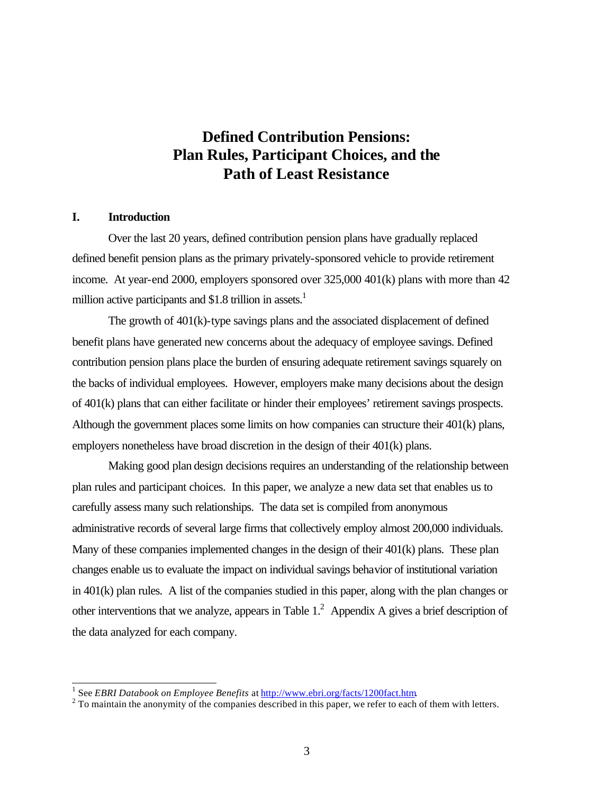# **Defined Contribution Pensions: Plan Rules, Participant Choices, and the Path of Least Resistance**

#### **I. Introduction**

Over the last 20 years, defined contribution pension plans have gradually replaced defined benefit pension plans as the primary privately-sponsored vehicle to provide retirement income. At year-end 2000, employers sponsored over 325,000 401(k) plans with more than 42 million active participants and  $$1.8$  trillion in assets.<sup>1</sup>

The growth of 401(k)-type savings plans and the associated displacement of defined benefit plans have generated new concerns about the adequacy of employee savings. Defined contribution pension plans place the burden of ensuring adequate retirement savings squarely on the backs of individual employees. However, employers make many decisions about the design of 401(k) plans that can either facilitate or hinder their employees' retirement savings prospects. Although the government places some limits on how companies can structure their 401(k) plans, employers nonetheless have broad discretion in the design of their 401(k) plans.

Making good plan design decisions requires an understanding of the relationship between plan rules and participant choices. In this paper, we analyze a new data set that enables us to carefully assess many such relationships. The data set is compiled from anonymous administrative records of several large firms that collectively employ almost 200,000 individuals. Many of these companies implemented changes in the design of their 401(k) plans. These plan changes enable us to evaluate the impact on individual savings behavior of institutional variation in 401(k) plan rules. A list of the companies studied in this paper, along with the plan changes or other interventions that we analyze, appears in Table  $1<sup>2</sup>$  Appendix A gives a brief description of the data analyzed for each company.

<sup>&</sup>lt;sup>1</sup> See *EBRI Databook on Employee Benefits* at <u>http://www.ebri.org/facts/1200fact.htm</u><br><sup>2</sup> To maintain the anonymity of the companies described in this paper, we refer to each of them with letters.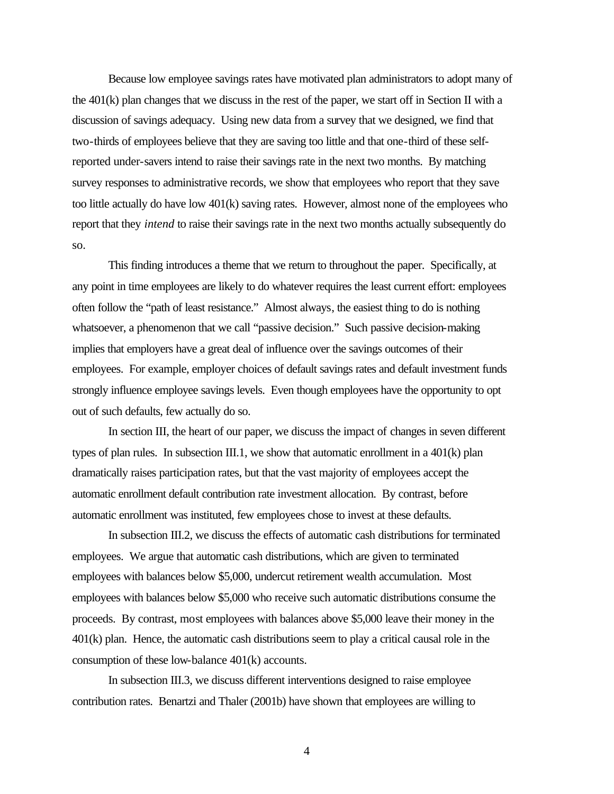Because low employee savings rates have motivated plan administrators to adopt many of the 401(k) plan changes that we discuss in the rest of the paper, we start off in Section II with a discussion of savings adequacy. Using new data from a survey that we designed, we find that two-thirds of employees believe that they are saving too little and that one-third of these selfreported under-savers intend to raise their savings rate in the next two months. By matching survey responses to administrative records, we show that employees who report that they save too little actually do have low 401(k) saving rates. However, almost none of the employees who report that they *intend* to raise their savings rate in the next two months actually subsequently do so.

This finding introduces a theme that we return to throughout the paper. Specifically, at any point in time employees are likely to do whatever requires the least current effort: employees often follow the "path of least resistance." Almost always, the easiest thing to do is nothing whatsoever, a phenomenon that we call "passive decision." Such passive decision-making implies that employers have a great deal of influence over the savings outcomes of their employees. For example, employer choices of default savings rates and default investment funds strongly influence employee savings levels. Even though employees have the opportunity to opt out of such defaults, few actually do so.

In section III, the heart of our paper, we discuss the impact of changes in seven different types of plan rules. In subsection III.1, we show that automatic enrollment in a  $401(k)$  plan dramatically raises participation rates, but that the vast majority of employees accept the automatic enrollment default contribution rate investment allocation. By contrast, before automatic enrollment was instituted, few employees chose to invest at these defaults.

In subsection III.2, we discuss the effects of automatic cash distributions for terminated employees. We argue that automatic cash distributions, which are given to terminated employees with balances below \$5,000, undercut retirement wealth accumulation. Most employees with balances below \$5,000 who receive such automatic distributions consume the proceeds. By contrast, most employees with balances above \$5,000 leave their money in the 401(k) plan. Hence, the automatic cash distributions seem to play a critical causal role in the consumption of these low-balance 401(k) accounts.

In subsection III.3, we discuss different interventions designed to raise employee contribution rates. Benartzi and Thaler (2001b) have shown that employees are willing to

4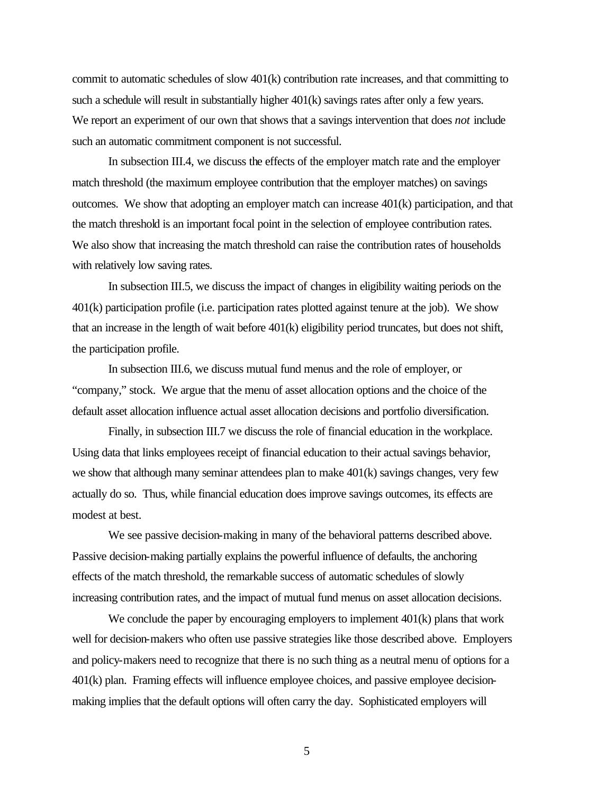commit to automatic schedules of slow 401(k) contribution rate increases, and that committing to such a schedule will result in substantially higher 401(k) savings rates after only a few years. We report an experiment of our own that shows that a savings intervention that does *not* include such an automatic commitment component is not successful.

In subsection III.4, we discuss the effects of the employer match rate and the employer match threshold (the maximum employee contribution that the employer matches) on savings outcomes. We show that adopting an employer match can increase  $401(k)$  participation, and that the match threshold is an important focal point in the selection of employee contribution rates. We also show that increasing the match threshold can raise the contribution rates of households with relatively low saving rates.

In subsection III.5, we discuss the impact of changes in eligibility waiting periods on the 401(k) participation profile (i.e. participation rates plotted against tenure at the job). We show that an increase in the length of wait before 401(k) eligibility period truncates, but does not shift, the participation profile.

In subsection III.6, we discuss mutual fund menus and the role of employer, or "company," stock. We argue that the menu of asset allocation options and the choice of the default asset allocation influence actual asset allocation decisions and portfolio diversification.

Finally, in subsection III.7 we discuss the role of financial education in the workplace. Using data that links employees receipt of financial education to their actual savings behavior, we show that although many seminar attendees plan to make 401(k) savings changes, very few actually do so. Thus, while financial education does improve savings outcomes, its effects are modest at best.

We see passive decision-making in many of the behavioral patterns described above. Passive decision-making partially explains the powerful influence of defaults, the anchoring effects of the match threshold, the remarkable success of automatic schedules of slowly increasing contribution rates, and the impact of mutual fund menus on asset allocation decisions.

We conclude the paper by encouraging employers to implement 401(k) plans that work well for decision-makers who often use passive strategies like those described above. Employers and policy-makers need to recognize that there is no such thing as a neutral menu of options for a 401(k) plan. Framing effects will influence employee choices, and passive employee decisionmaking implies that the default options will often carry the day. Sophisticated employers will

5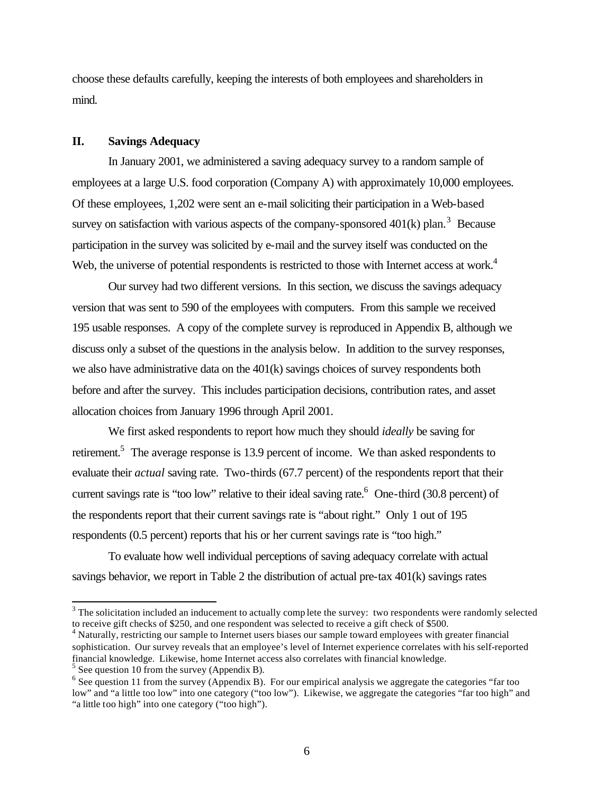choose these defaults carefully, keeping the interests of both employees and shareholders in mind.

#### **II. Savings Adequacy**

In January 2001, we administered a saving adequacy survey to a random sample of employees at a large U.S. food corporation (Company A) with approximately 10,000 employees. Of these employees, 1,202 were sent an e-mail soliciting their participation in a Web-based survey on satisfaction with various aspects of the company-sponsored  $401(k)$  plan.<sup>3</sup> Because participation in the survey was solicited by e-mail and the survey itself was conducted on the Web, the universe of potential respondents is restricted to those with Internet access at work.<sup>4</sup>

Our survey had two different versions. In this section, we discuss the savings adequacy version that was sent to 590 of the employees with computers. From this sample we received 195 usable responses. A copy of the complete survey is reproduced in Appendix B, although we discuss only a subset of the questions in the analysis below. In addition to the survey responses, we also have administrative data on the 401(k) savings choices of survey respondents both before and after the survey. This includes participation decisions, contribution rates, and asset allocation choices from January 1996 through April 2001.

We first asked respondents to report how much they should *ideally* be saving for retirement.<sup>5</sup> The average response is 13.9 percent of income. We than asked respondents to evaluate their *actual* saving rate. Two-thirds (67.7 percent) of the respondents report that their current savings rate is "too low" relative to their ideal saving rate.  $6$  One-third (30.8 percent) of the respondents report that their current savings rate is "about right." Only 1 out of 195 respondents (0.5 percent) reports that his or her current savings rate is "too high."

To evaluate how well individual perceptions of saving adequacy correlate with actual savings behavior, we report in Table 2 the distribution of actual pre-tax 401(k) savings rates

 $3$  The solicitation included an inducement to actually complete the survey: two respondents were randomly selected to receive gift checks of \$250, and one respondent was selected to receive a gift check of \$500.

<sup>&</sup>lt;sup>4</sup> Naturally, restricting our sample to Internet users biases our sample toward employees with greater financial sophistication. Our survey reveals that an employee's level of Internet experience correlates with his self-reported financial knowledge. Likewise, home Internet access also correlates with financial knowledge.

 $<sup>5</sup>$  See question 10 from the survey (Appendix B).</sup>

<sup>&</sup>lt;sup>6</sup> See question 11 from the survey (Appendix B). For our empirical analysis we aggregate the categories "far too low" and "a little too low" into one category ("too low"). Likewise, we aggregate the categories "far too high" and "a little too high" into one category ("too high").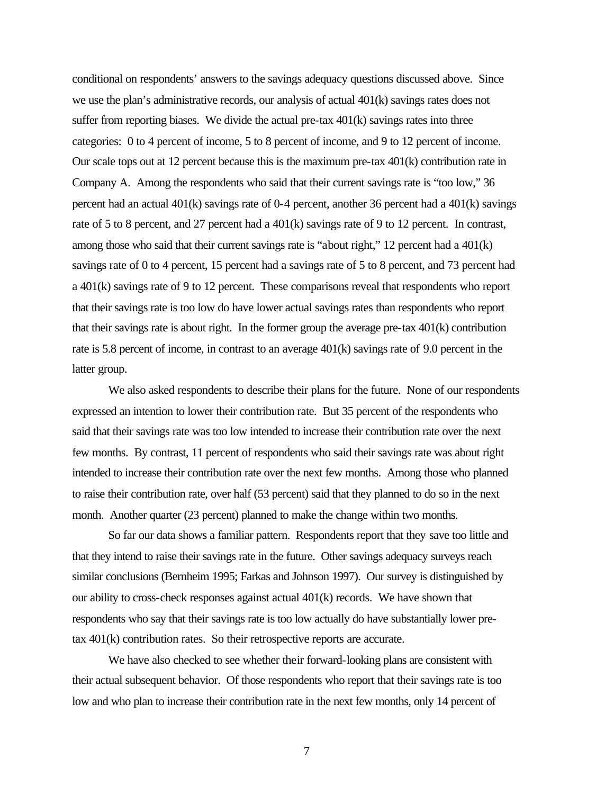conditional on respondents' answers to the savings adequacy questions discussed above. Since we use the plan's administrative records, our analysis of actual 401(k) savings rates does not suffer from reporting biases. We divide the actual pre-tax 401(k) savings rates into three categories: 0 to 4 percent of income, 5 to 8 percent of income, and 9 to 12 percent of income. Our scale tops out at 12 percent because this is the maximum pre-tax 401(k) contribution rate in Company A. Among the respondents who said that their current savings rate is "too low," 36 percent had an actual 401(k) savings rate of 0-4 percent, another 36 percent had a 401(k) savings rate of 5 to 8 percent, and 27 percent had a 401(k) savings rate of 9 to 12 percent. In contrast, among those who said that their current savings rate is "about right," 12 percent had a 401(k) savings rate of 0 to 4 percent, 15 percent had a savings rate of 5 to 8 percent, and 73 percent had a 401(k) savings rate of 9 to 12 percent. These comparisons reveal that respondents who report that their savings rate is too low do have lower actual savings rates than respondents who report that their savings rate is about right. In the former group the average pre-tax 401(k) contribution rate is 5.8 percent of income, in contrast to an average 401(k) savings rate of 9.0 percent in the latter group.

We also asked respondents to describe their plans for the future. None of our respondents expressed an intention to lower their contribution rate. But 35 percent of the respondents who said that their savings rate was too low intended to increase their contribution rate over the next few months. By contrast, 11 percent of respondents who said their savings rate was about right intended to increase their contribution rate over the next few months. Among those who planned to raise their contribution rate, over half (53 percent) said that they planned to do so in the next month. Another quarter (23 percent) planned to make the change within two months.

So far our data shows a familiar pattern. Respondents report that they save too little and that they intend to raise their savings rate in the future. Other savings adequacy surveys reach similar conclusions (Bernheim 1995; Farkas and Johnson 1997). Our survey is distinguished by our ability to cross-check responses against actual 401(k) records. We have shown that respondents who say that their savings rate is too low actually do have substantially lower pretax 401(k) contribution rates. So their retrospective reports are accurate.

We have also checked to see whether their forward-looking plans are consistent with their actual subsequent behavior. Of those respondents who report that their savings rate is too low and who plan to increase their contribution rate in the next few months, only 14 percent of

7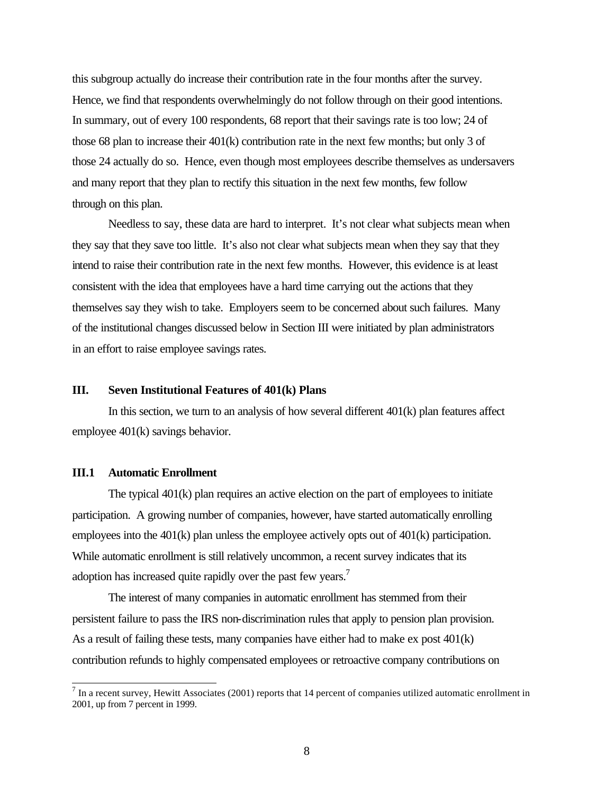this subgroup actually do increase their contribution rate in the four months after the survey. Hence, we find that respondents overwhelmingly do not follow through on their good intentions. In summary, out of every 100 respondents, 68 report that their savings rate is too low; 24 of those 68 plan to increase their 401(k) contribution rate in the next few months; but only 3 of those 24 actually do so. Hence, even though most employees describe themselves as undersavers and many report that they plan to rectify this situation in the next few months, few follow through on this plan.

Needless to say, these data are hard to interpret. It's not clear what subjects mean when they say that they save too little. It's also not clear what subjects mean when they say that they intend to raise their contribution rate in the next few months. However, this evidence is at least consistent with the idea that employees have a hard time carrying out the actions that they themselves say they wish to take. Employers seem to be concerned about such failures. Many of the institutional changes discussed below in Section III were initiated by plan administrators in an effort to raise employee savings rates.

#### **III. Seven Institutional Features of 401(k) Plans**

In this section, we turn to an analysis of how several different  $401(k)$  plan features affect employee 401(k) savings behavior.

#### **III.1 Automatic Enrollment**

l

The typical 401(k) plan requires an active election on the part of employees to initiate participation. A growing number of companies, however, have started automatically enrolling employees into the 401(k) plan unless the employee actively opts out of 401(k) participation. While automatic enrollment is still relatively uncommon, a recent survey indicates that its adoption has increased quite rapidly over the past few years.<sup>7</sup>

The interest of many companies in automatic enrollment has stemmed from their persistent failure to pass the IRS non-discrimination rules that apply to pension plan provision. As a result of failing these tests, many companies have either had to make ex post 401(k) contribution refunds to highly compensated employees or retroactive company contributions on

 $<sup>7</sup>$  In a recent survey, Hewitt Associates (2001) reports that 14 percent of companies utilized automatic enrollment in</sup> 2001, up from 7 percent in 1999.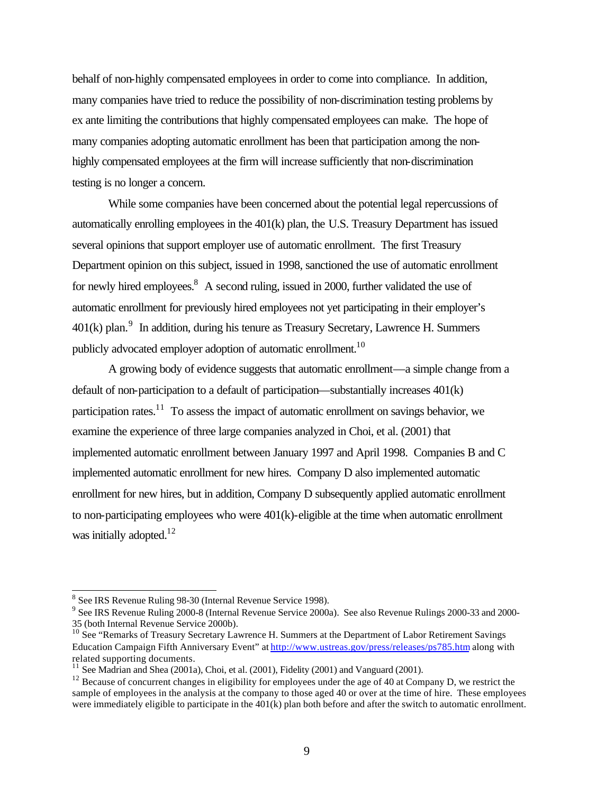behalf of non-highly compensated employees in order to come into compliance. In addition, many companies have tried to reduce the possibility of non-discrimination testing problems by ex ante limiting the contributions that highly compensated employees can make. The hope of many companies adopting automatic enrollment has been that participation among the nonhighly compensated employees at the firm will increase sufficiently that non-discrimination testing is no longer a concern.

While some companies have been concerned about the potential legal repercussions of automatically enrolling employees in the 401(k) plan, the U.S. Treasury Department has issued several opinions that support employer use of automatic enrollment. The first Treasury Department opinion on this subject, issued in 1998, sanctioned the use of automatic enrollment for newly hired employees.<sup>8</sup> A second ruling, issued in 2000, further validated the use of automatic enrollment for previously hired employees not yet participating in their employer's  $401(k)$  plan.<sup>9</sup> In addition, during his tenure as Treasury Secretary, Lawrence H. Summers publicly advocated employer adoption of automatic enrollment.<sup>10</sup>

A growing body of evidence suggests that automatic enrollment—a simple change from a default of non-participation to a default of participation—substantially increases 401(k) participation rates.<sup>11</sup> To assess the impact of automatic enrollment on savings behavior, we examine the experience of three large companies analyzed in Choi, et al. (2001) that implemented automatic enrollment between January 1997 and April 1998. Companies B and C implemented automatic enrollment for new hires. Company D also implemented automatic enrollment for new hires, but in addition, Company D subsequently applied automatic enrollment to non-participating employees who were 401(k)-eligible at the time when automatic enrollment was initially adopted.<sup>12</sup>

 8 See IRS Revenue Ruling 98-30 (Internal Revenue Service 1998).

<sup>&</sup>lt;sup>9</sup> See IRS Revenue Ruling 2000-8 (Internal Revenue Service 2000a). See also Revenue Rulings 2000-33 and 2000-35 (both Internal Revenue Service 2000b).

<sup>&</sup>lt;sup>10</sup> See "Remarks of Treasury Secretary Lawrence H. Summers at the Department of Labor Retirement Savings Education Campaign Fifth Anniversary Event" at http://www.ustreas.gov/press/releases/ps785.htm along with related supporting documents.

 $11$  See Madrian and Shea (2001a), Choi, et al. (2001), Fidelity (2001) and Vanguard (2001).

<sup>&</sup>lt;sup>12</sup> Because of concurrent changes in eligibility for employees under the age of 40 at Company D, we restrict the sample of employees in the analysis at the company to those aged 40 or over at the time of hire. These employees were immediately eligible to participate in the  $401(k)$  plan both before and after the switch to automatic enrollment.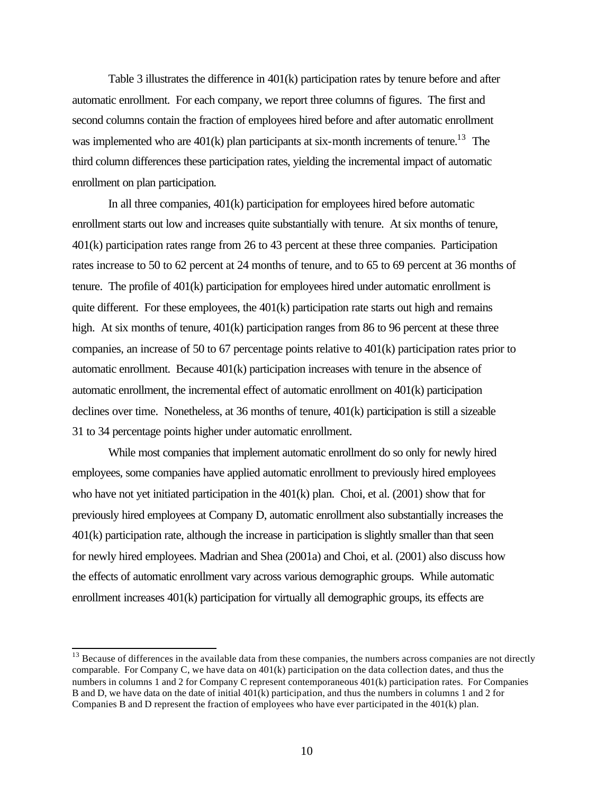Table 3 illustrates the difference in 401(k) participation rates by tenure before and after automatic enrollment. For each company, we report three columns of figures. The first and second columns contain the fraction of employees hired before and after automatic enrollment was implemented who are  $401(k)$  plan participants at six-month increments of tenure.<sup>13</sup> The third column differences these participation rates, yielding the incremental impact of automatic enrollment on plan participation.

In all three companies, 401(k) participation for employees hired before automatic enrollment starts out low and increases quite substantially with tenure. At six months of tenure, 401(k) participation rates range from 26 to 43 percent at these three companies. Participation rates increase to 50 to 62 percent at 24 months of tenure, and to 65 to 69 percent at 36 months of tenure. The profile of 401(k) participation for employees hired under automatic enrollment is quite different. For these employees, the  $401(k)$  participation rate starts out high and remains high. At six months of tenure,  $401(k)$  participation ranges from 86 to 96 percent at these three companies, an increase of 50 to 67 percentage points relative to 401(k) participation rates prior to automatic enrollment. Because 401(k) participation increases with tenure in the absence of automatic enrollment, the incremental effect of automatic enrollment on 401(k) participation declines over time. Nonetheless, at 36 months of tenure, 401(k) participation is still a sizeable 31 to 34 percentage points higher under automatic enrollment.

While most companies that implement automatic enrollment do so only for newly hired employees, some companies have applied automatic enrollment to previously hired employees who have not yet initiated participation in the  $401(k)$  plan. Choi, et al. (2001) show that for previously hired employees at Company D, automatic enrollment also substantially increases the 401(k) participation rate, although the increase in participation is slightly smaller than that seen for newly hired employees. Madrian and Shea (2001a) and Choi, et al. (2001) also discuss how the effects of automatic enrollment vary across various demographic groups. While automatic enrollment increases 401(k) participation for virtually all demographic groups, its effects are

 $13$  Because of differences in the available data from these companies, the numbers across companies are not directly comparable. For Company C, we have data on  $401(k)$  participation on the data collection dates, and thus the numbers in columns 1 and 2 for Company C represent contemporaneous 401(k) participation rates. For Companies B and D, we have data on the date of initial 401(k) participation, and thus the numbers in columns 1 and 2 for Companies B and D represent the fraction of employees who have ever participated in the 401(k) plan.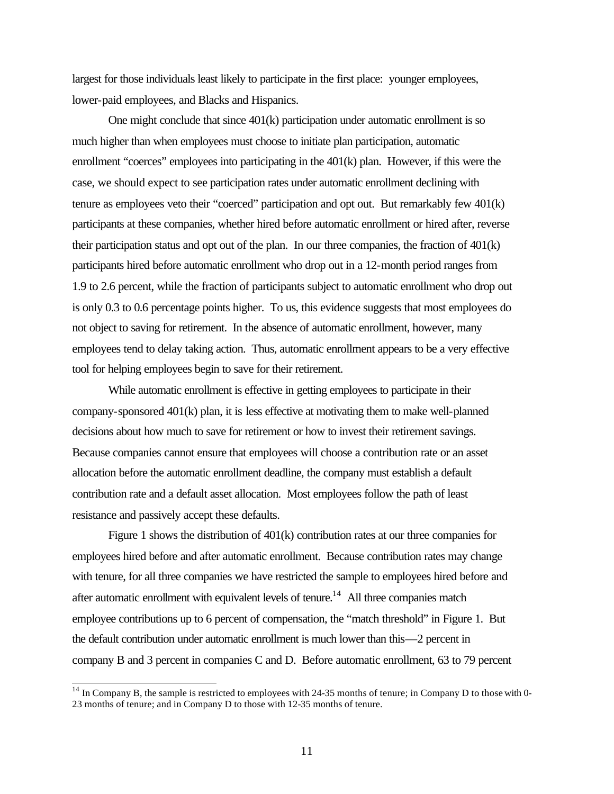largest for those individuals least likely to participate in the first place: younger employees, lower-paid employees, and Blacks and Hispanics.

One might conclude that since 401(k) participation under automatic enrollment is so much higher than when employees must choose to initiate plan participation, automatic enrollment "coerces" employees into participating in the 401(k) plan. However, if this were the case, we should expect to see participation rates under automatic enrollment declining with tenure as employees veto their "coerced" participation and opt out. But remarkably few 401(k) participants at these companies, whether hired before automatic enrollment or hired after, reverse their participation status and opt out of the plan. In our three companies, the fraction of 401(k) participants hired before automatic enrollment who drop out in a 12-month period ranges from 1.9 to 2.6 percent, while the fraction of participants subject to automatic enrollment who drop out is only 0.3 to 0.6 percentage points higher. To us, this evidence suggests that most employees do not object to saving for retirement. In the absence of automatic enrollment, however, many employees tend to delay taking action. Thus, automatic enrollment appears to be a very effective tool for helping employees begin to save for their retirement.

While automatic enrollment is effective in getting employees to participate in their company-sponsored 401(k) plan, it is less effective at motivating them to make well-planned decisions about how much to save for retirement or how to invest their retirement savings. Because companies cannot ensure that employees will choose a contribution rate or an asset allocation before the automatic enrollment deadline, the company must establish a default contribution rate and a default asset allocation. Most employees follow the path of least resistance and passively accept these defaults.

Figure 1 shows the distribution of 401(k) contribution rates at our three companies for employees hired before and after automatic enrollment. Because contribution rates may change with tenure, for all three companies we have restricted the sample to employees hired before and after automatic enrollment with equivalent levels of tenure.<sup>14</sup> All three companies match employee contributions up to 6 percent of compensation, the "match threshold" in Figure 1. But the default contribution under automatic enrollment is much lower than this—2 percent in company B and 3 percent in companies C and D. Before automatic enrollment, 63 to 79 percent

 $14$  In Company B, the sample is restricted to employees with 24-35 months of tenure; in Company D to those with 0-23 months of tenure; and in Company D to those with 12-35 months of tenure.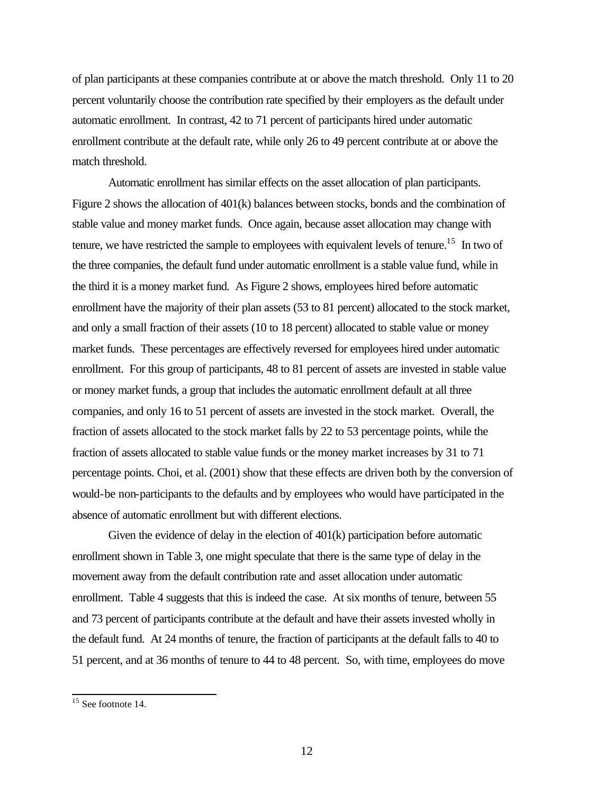of plan participants at these companies contribute at or above the match threshold. Only 11 to 20 percent voluntarily choose the contribution rate specified by their employers as the default under automatic enrollment. In contrast, 42 to 71 percent of participants hired under automatic enrollment contribute at the default rate, while only 26 to 49 percent contribute at or above the match threshold.

Automatic enrollment has similar effects on the asset allocation of plan participants. Figure 2 shows the allocation of 401(k) balances between stocks, bonds and the combination of stable value and money market funds. Once again, because asset allocation may change with tenure, we have restricted the sample to employees with equivalent levels of tenure.<sup>15</sup> In two of the three companies, the default fund under automatic enrollment is a stable value fund, while in the third it is a money market fund. As Figure 2 shows, employees hired before automatic enrollment have the majority of their plan assets (53 to 81 percent) allocated to the stock market, and only a small fraction of their assets (10 to 18 percent) allocated to stable value or money market funds. These percentages are effectively reversed for employees hired under automatic enrollment. For this group of participants, 48 to 81 percent of assets are invested in stable value or money market funds, a group that includes the automatic enrollment default at all three companies, and only 16 to 51 percent of assets are invested in the stock market. Overall, the fraction of assets allocated to the stock market falls by 22 to 53 percentage points, while the fraction of assets allocated to stable value funds or the money market increases by 31 to 71 percentage points. Choi, et al. (2001) show that these effects are driven both by the conversion of would-be non-participants to the defaults and by employees who would have participated in the absence of automatic enrollment but with different elections.

Given the evidence of delay in the election of 401(k) participation before automatic enrollment shown in Table 3, one might speculate that there is the same type of delay in the movement away from the default contribution rate and asset allocation under automatic enrollment. Table 4 suggests that this is indeed the case. At six months of tenure, between 55 and 73 percent of participants contribute at the default and have their assets invested wholly in the default fund. At 24 months of tenure, the fraction of participants at the default falls to 40 to 51 percent, and at 36 months of tenure to 44 to 48 percent. So, with time, employees do move

<sup>&</sup>lt;sup>15</sup> See footnote 14.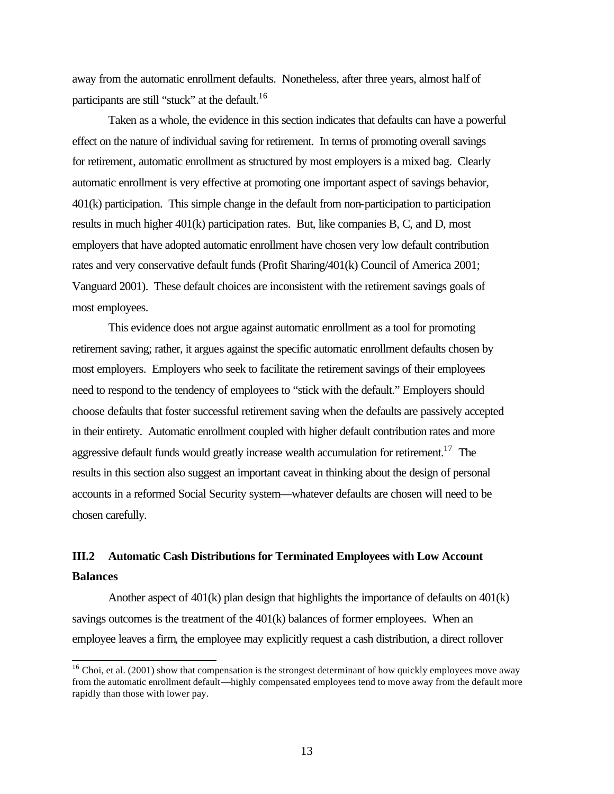away from the automatic enrollment defaults. Nonetheless, after three years, almost half of participants are still "stuck" at the default.<sup>16</sup>

Taken as a whole, the evidence in this section indicates that defaults can have a powerful effect on the nature of individual saving for retirement. In terms of promoting overall savings for retirement, automatic enrollment as structured by most employers is a mixed bag. Clearly automatic enrollment is very effective at promoting one important aspect of savings behavior, 401(k) participation. This simple change in the default from non-participation to participation results in much higher 401(k) participation rates. But, like companies B, C, and D, most employers that have adopted automatic enrollment have chosen very low default contribution rates and very conservative default funds (Profit Sharing/401(k) Council of America 2001; Vanguard 2001). These default choices are inconsistent with the retirement savings goals of most employees.

This evidence does not argue against automatic enrollment as a tool for promoting retirement saving; rather, it argues against the specific automatic enrollment defaults chosen by most employers. Employers who seek to facilitate the retirement savings of their employees need to respond to the tendency of employees to "stick with the default." Employers should choose defaults that foster successful retirement saving when the defaults are passively accepted in their entirety. Automatic enrollment coupled with higher default contribution rates and more aggressive default funds would greatly increase wealth accumulation for retirement.<sup>17</sup> The results in this section also suggest an important caveat in thinking about the design of personal accounts in a reformed Social Security system—whatever defaults are chosen will need to be chosen carefully.

# **III.2 Automatic Cash Distributions for Terminated Employees with Low Account Balances**

l

Another aspect of  $401(k)$  plan design that highlights the importance of defaults on  $401(k)$ savings outcomes is the treatment of the  $401(k)$  balances of former employees. When an employee leaves a firm, the employee may explicitly request a cash distribution, a direct rollover

 $16$  Choi, et al. (2001) show that compensation is the strongest determinant of how quickly employees move away from the automatic enrollment default—highly compensated employees tend to move away from the default more rapidly than those with lower pay.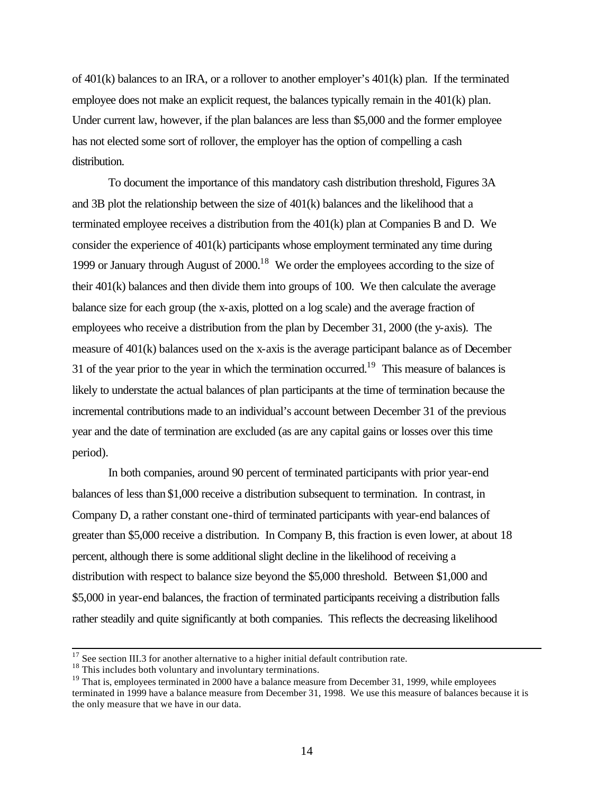of  $401(k)$  balances to an IRA, or a rollover to another employer's  $401(k)$  plan. If the terminated employee does not make an explicit request, the balances typically remain in the  $401(k)$  plan. Under current law, however, if the plan balances are less than \$5,000 and the former employee has not elected some sort of rollover, the employer has the option of compelling a cash distribution.

To document the importance of this mandatory cash distribution threshold, Figures 3A and 3B plot the relationship between the size of 401(k) balances and the likelihood that a terminated employee receives a distribution from the 401(k) plan at Companies B and D. We consider the experience of 401(k) participants whose employment terminated any time during 1999 or January through August of  $2000$ <sup>18</sup> We order the employees according to the size of their 401(k) balances and then divide them into groups of 100. We then calculate the average balance size for each group (the x-axis, plotted on a log scale) and the average fraction of employees who receive a distribution from the plan by December 31, 2000 (the y-axis). The measure of 401(k) balances used on the x-axis is the average participant balance as of December 31 of the year prior to the year in which the termination occurred.<sup>19</sup> This measure of balances is likely to understate the actual balances of plan participants at the time of termination because the incremental contributions made to an individual's account between December 31 of the previous year and the date of termination are excluded (as are any capital gains or losses over this time period).

In both companies, around 90 percent of terminated participants with prior year-end balances of less than \$1,000 receive a distribution subsequent to termination. In contrast, in Company D, a rather constant one-third of terminated participants with year-end balances of greater than \$5,000 receive a distribution. In Company B, this fraction is even lower, at about 18 percent, although there is some additional slight decline in the likelihood of receiving a distribution with respect to balance size beyond the \$5,000 threshold. Between \$1,000 and \$5,000 in year-end balances, the fraction of terminated participants receiving a distribution falls rather steadily and quite significantly at both companies. This reflects the decreasing likelihood

 $17$  See section III.3 for another alternative to a higher initial default contribution rate.

<sup>&</sup>lt;sup>18</sup> This includes both voluntary and involuntary terminations.

 $19$  That is, employees terminated in 2000 have a balance measure from December 31, 1999, while employees terminated in 1999 have a balance measure from December 31, 1998. We use this measure of balances because it is the only measure that we have in our data.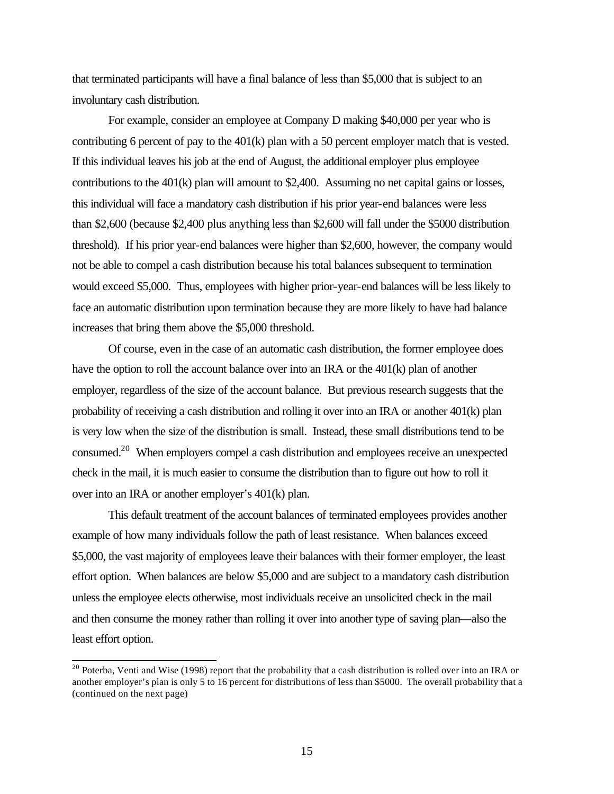that terminated participants will have a final balance of less than \$5,000 that is subject to an involuntary cash distribution.

For example, consider an employee at Company D making \$40,000 per year who is contributing 6 percent of pay to the 401(k) plan with a 50 percent employer match that is vested. If this individual leaves his job at the end of August, the additional employer plus employee contributions to the 401(k) plan will amount to \$2,400. Assuming no net capital gains or losses, this individual will face a mandatory cash distribution if his prior year-end balances were less than \$2,600 (because \$2,400 plus anything less than \$2,600 will fall under the \$5000 distribution threshold). If his prior year-end balances were higher than \$2,600, however, the company would not be able to compel a cash distribution because his total balances subsequent to termination would exceed \$5,000. Thus, employees with higher prior-year-end balances will be less likely to face an automatic distribution upon termination because they are more likely to have had balance increases that bring them above the \$5,000 threshold.

Of course, even in the case of an automatic cash distribution, the former employee does have the option to roll the account balance over into an IRA or the 401(k) plan of another employer, regardless of the size of the account balance. But previous research suggests that the probability of receiving a cash distribution and rolling it over into an IRA or another 401(k) plan is very low when the size of the distribution is small. Instead, these small distributions tend to be consumed.<sup>20</sup> When employers compel a cash distribution and employees receive an unexpected check in the mail, it is much easier to consume the distribution than to figure out how to roll it over into an IRA or another employer's 401(k) plan.

This default treatment of the account balances of terminated employees provides another example of how many individuals follow the path of least resistance. When balances exceed \$5,000, the vast majority of employees leave their balances with their former employer, the least effort option. When balances are below \$5,000 and are subject to a mandatory cash distribution unless the employee elects otherwise, most individuals receive an unsolicited check in the mail and then consume the money rather than rolling it over into another type of saving plan—also the least effort option.

<sup>&</sup>lt;sup>20</sup> Poterba, Venti and Wise (1998) report that the probability that a cash distribution is rolled over into an IRA or another employer's plan is only 5 to 16 percent for distributions of less than \$5000. The overall probability that a (continued on the next page)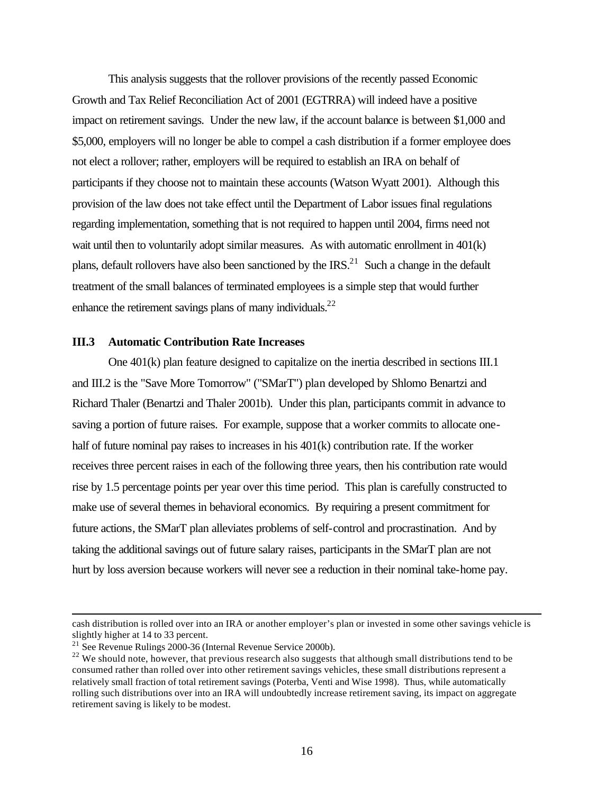This analysis suggests that the rollover provisions of the recently passed Economic Growth and Tax Relief Reconciliation Act of 2001 (EGTRRA) will indeed have a positive impact on retirement savings. Under the new law, if the account balance is between \$1,000 and \$5,000, employers will no longer be able to compel a cash distribution if a former employee does not elect a rollover; rather, employers will be required to establish an IRA on behalf of participants if they choose not to maintain these accounts (Watson Wyatt 2001). Although this provision of the law does not take effect until the Department of Labor issues final regulations regarding implementation, something that is not required to happen until 2004, firms need not wait until then to voluntarily adopt similar measures. As with automatic enrollment in 401(k) plans, default rollovers have also been sanctioned by the  $IRS<sup>21</sup>$  Such a change in the default treatment of the small balances of terminated employees is a simple step that would further enhance the retirement savings plans of many individuals. $^{22}$ 

#### **III.3 Automatic Contribution Rate Increases**

One 401(k) plan feature designed to capitalize on the inertia described in sections III.1 and III.2 is the "Save More Tomorrow" ("SMarT") plan developed by Shlomo Benartzi and Richard Thaler (Benartzi and Thaler 2001b). Under this plan, participants commit in advance to saving a portion of future raises. For example, suppose that a worker commits to allocate onehalf of future nominal pay raises to increases in his 401(k) contribution rate. If the worker receives three percent raises in each of the following three years, then his contribution rate would rise by 1.5 percentage points per year over this time period. This plan is carefully constructed to make use of several themes in behavioral economics. By requiring a present commitment for future actions, the SMarT plan alleviates problems of self-control and procrastination. And by taking the additional savings out of future salary raises, participants in the SMarT plan are not hurt by loss aversion because workers will never see a reduction in their nominal take-home pay.

cash distribution is rolled over into an IRA or another employer's plan or invested in some other savings vehicle is slightly higher at 14 to 33 percent.

<sup>21</sup> See Revenue Rulings 2000-36 (Internal Revenue Service 2000b).

<sup>&</sup>lt;sup>22</sup> We should note, however, that previous research also suggests that although small distributions tend to be consumed rather than rolled over into other retirement savings vehicles, these small distributions represent a relatively small fraction of total retirement savings (Poterba, Venti and Wise 1998). Thus, while automatically rolling such distributions over into an IRA will undoubtedly increase retirement saving, its impact on aggregate retirement saving is likely to be modest.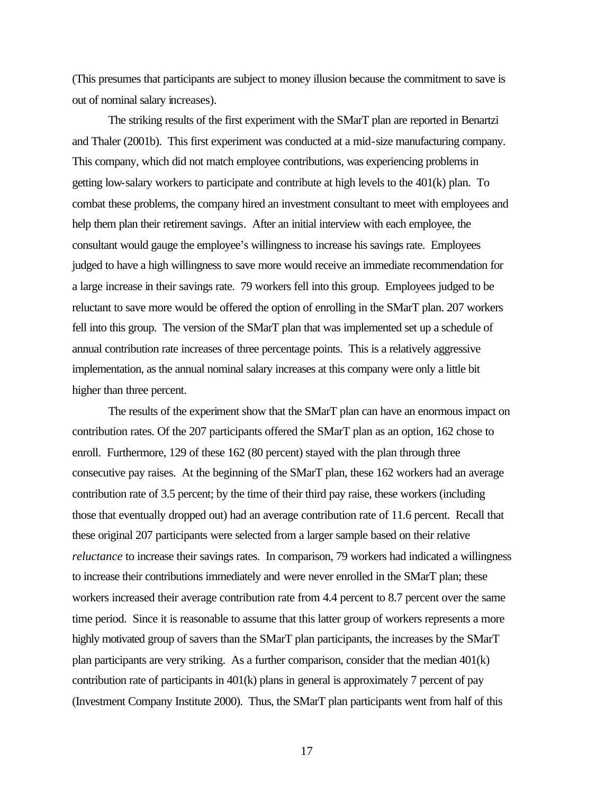(This presumes that participants are subject to money illusion because the commitment to save is out of nominal salary increases).

The striking results of the first experiment with the SMarT plan are reported in Benartzi and Thaler (2001b). This first experiment was conducted at a mid-size manufacturing company. This company, which did not match employee contributions, was experiencing problems in getting low-salary workers to participate and contribute at high levels to the 401(k) plan. To combat these problems, the company hired an investment consultant to meet with employees and help them plan their retirement savings. After an initial interview with each employee, the consultant would gauge the employee's willingness to increase his savings rate. Employees judged to have a high willingness to save more would receive an immediate recommendation for a large increase in their savings rate. 79 workers fell into this group. Employees judged to be reluctant to save more would be offered the option of enrolling in the SMarT plan. 207 workers fell into this group. The version of the SMarT plan that was implemented set up a schedule of annual contribution rate increases of three percentage points. This is a relatively aggressive implementation, as the annual nominal salary increases at this company were only a little bit higher than three percent.

The results of the experiment show that the SMarT plan can have an enormous impact on contribution rates. Of the 207 participants offered the SMarT plan as an option, 162 chose to enroll. Furthermore, 129 of these 162 (80 percent) stayed with the plan through three consecutive pay raises. At the beginning of the SMarT plan, these 162 workers had an average contribution rate of 3.5 percent; by the time of their third pay raise, these workers (including those that eventually dropped out) had an average contribution rate of 11.6 percent. Recall that these original 207 participants were selected from a larger sample based on their relative *reluctance* to increase their savings rates. In comparison, 79 workers had indicated a willingness to increase their contributions immediately and were never enrolled in the SMarT plan; these workers increased their average contribution rate from 4.4 percent to 8.7 percent over the same time period. Since it is reasonable to assume that this latter group of workers represents a more highly motivated group of savers than the SMarT plan participants, the increases by the SMarT plan participants are very striking. As a further comparison, consider that the median 401(k) contribution rate of participants in 401(k) plans in general is approximately 7 percent of pay (Investment Company Institute 2000). Thus, the SMarT plan participants went from half of this

17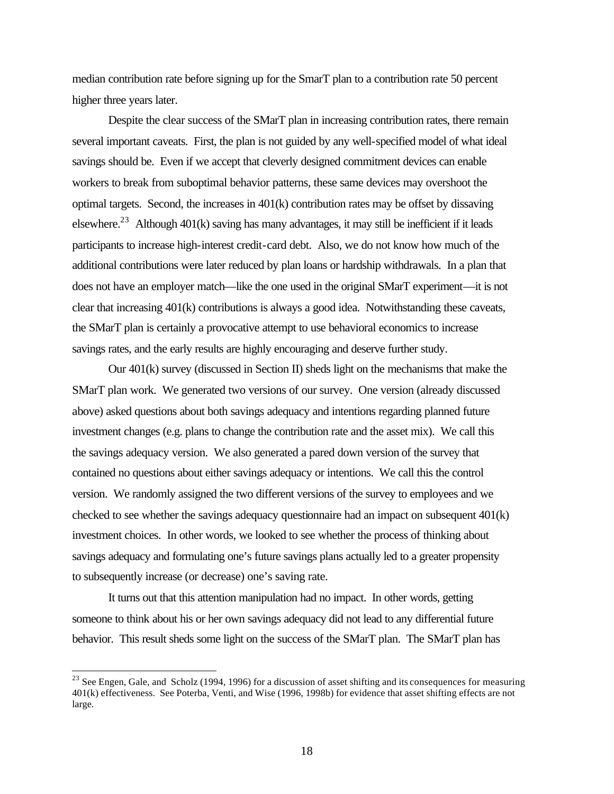median contribution rate before signing up for the SmarT plan to a contribution rate 50 percent higher three years later.

Despite the clear success of the SMarT plan in increasing contribution rates, there remain several important caveats. First, the plan is not guided by any well-specified model of what ideal savings should be. Even if we accept that cleverly designed commitment devices can enable workers to break from suboptimal behavior patterns, these same devices may overshoot the optimal targets. Second, the increases in 401(k) contribution rates may be offset by dissaving elsewhere.<sup>23</sup> Although 401(k) saving has many advantages, it may still be inefficient if it leads participants to increase high-interest credit-card debt. Also, we do not know how much of the additional contributions were later reduced by plan loans or hardship withdrawals. In a plan that does not have an employer match—like the one used in the original SMarT experiment—it is not clear that increasing 401(k) contributions is always a good idea. Notwithstanding these caveats, the SMarT plan is certainly a provocative attempt to use behavioral economics to increase savings rates, and the early results are highly encouraging and deserve further study.

Our 401(k) survey (discussed in Section II) sheds light on the mechanisms that make the SMarT plan work. We generated two versions of our survey. One version (already discussed above) asked questions about both savings adequacy and intentions regarding planned future investment changes (e.g. plans to change the contribution rate and the asset mix). We call this the savings adequacy version. We also generated a pared down version of the survey that contained no questions about either savings adequacy or intentions. We call this the control version. We randomly assigned the two different versions of the survey to employees and we checked to see whether the savings adequacy questionnaire had an impact on subsequent 401(k) investment choices. In other words, we looked to see whether the process of thinking about savings adequacy and formulating one's future savings plans actually led to a greater propensity to subsequently increase (or decrease) one's saving rate.

It turns out that this attention manipulation had no impact. In other words, getting someone to think about his or her own savings adequacy did not lead to any differential future behavior. This result sheds some light on the success of the SMarT plan. The SMarT plan has

 $^{23}$  See Engen, Gale, and Scholz (1994, 1996) for a discussion of asset shifting and its consequences for measuring 401(k) effectiveness. See Poterba, Venti, and Wise (1996, 1998b) for evidence that asset shifting effects are not large.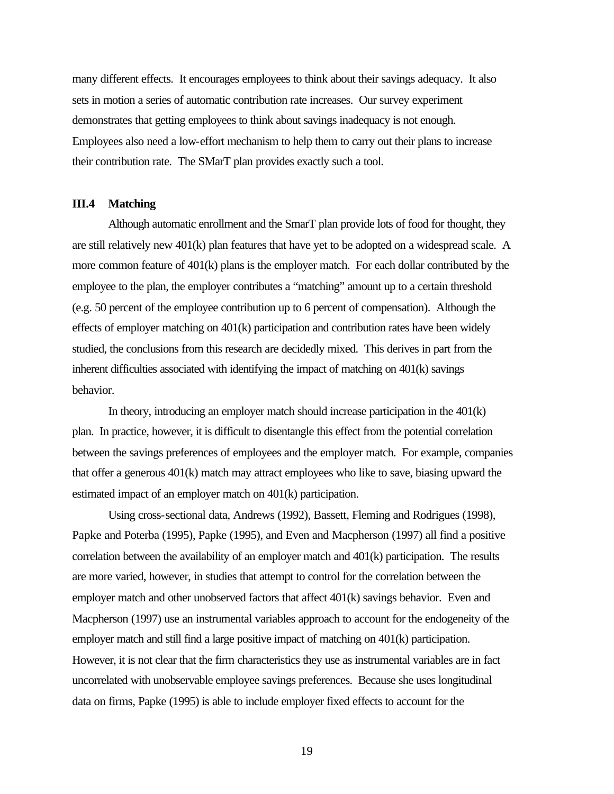many different effects. It encourages employees to think about their savings adequacy. It also sets in motion a series of automatic contribution rate increases. Our survey experiment demonstrates that getting employees to think about savings inadequacy is not enough. Employees also need a low-effort mechanism to help them to carry out their plans to increase their contribution rate. The SMarT plan provides exactly such a tool.

#### **III.4 Matching**

Although automatic enrollment and the SmarT plan provide lots of food for thought, they are still relatively new 401(k) plan features that have yet to be adopted on a widespread scale. A more common feature of 401(k) plans is the employer match. For each dollar contributed by the employee to the plan, the employer contributes a "matching" amount up to a certain threshold (e.g. 50 percent of the employee contribution up to 6 percent of compensation). Although the effects of employer matching on 401(k) participation and contribution rates have been widely studied, the conclusions from this research are decidedly mixed. This derives in part from the inherent difficulties associated with identifying the impact of matching on 401(k) savings behavior.

In theory, introducing an employer match should increase participation in the  $401(k)$ plan. In practice, however, it is difficult to disentangle this effect from the potential correlation between the savings preferences of employees and the employer match. For example, companies that offer a generous 401(k) match may attract employees who like to save, biasing upward the estimated impact of an employer match on 401(k) participation.

Using cross-sectional data, Andrews (1992), Bassett, Fleming and Rodrigues (1998), Papke and Poterba (1995), Papke (1995), and Even and Macpherson (1997) all find a positive correlation between the availability of an employer match and 401(k) participation. The results are more varied, however, in studies that attempt to control for the correlation between the employer match and other unobserved factors that affect 401(k) savings behavior. Even and Macpherson (1997) use an instrumental variables approach to account for the endogeneity of the employer match and still find a large positive impact of matching on 401(k) participation. However, it is not clear that the firm characteristics they use as instrumental variables are in fact uncorrelated with unobservable employee savings preferences. Because she uses longitudinal data on firms, Papke (1995) is able to include employer fixed effects to account for the

19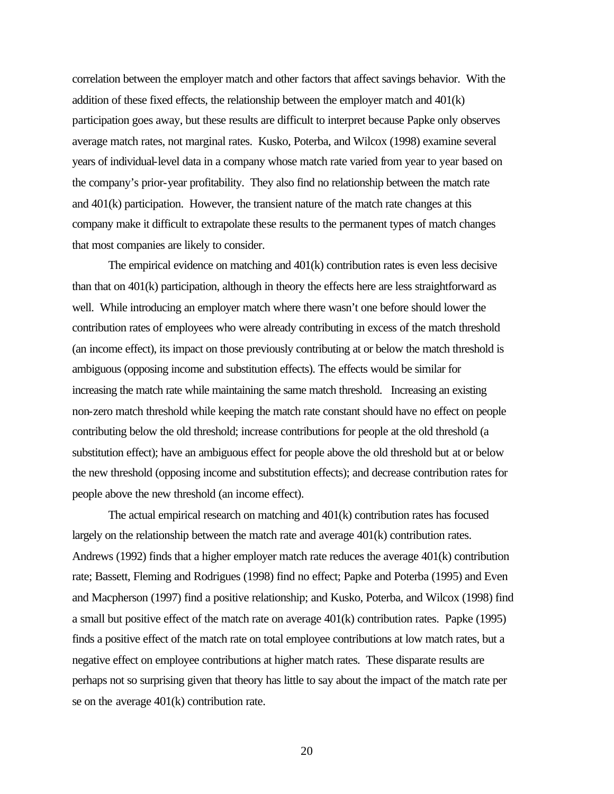correlation between the employer match and other factors that affect savings behavior. With the addition of these fixed effects, the relationship between the employer match and 401(k) participation goes away, but these results are difficult to interpret because Papke only observes average match rates, not marginal rates. Kusko, Poterba, and Wilcox (1998) examine several years of individual-level data in a company whose match rate varied from year to year based on the company's prior-year profitability. They also find no relationship between the match rate and 401(k) participation. However, the transient nature of the match rate changes at this company make it difficult to extrapolate these results to the permanent types of match changes that most companies are likely to consider.

The empirical evidence on matching and 401(k) contribution rates is even less decisive than that on 401(k) participation, although in theory the effects here are less straightforward as well. While introducing an employer match where there wasn't one before should lower the contribution rates of employees who were already contributing in excess of the match threshold (an income effect), its impact on those previously contributing at or below the match threshold is ambiguous (opposing income and substitution effects). The effects would be similar for increasing the match rate while maintaining the same match threshold. Increasing an existing non-zero match threshold while keeping the match rate constant should have no effect on people contributing below the old threshold; increase contributions for people at the old threshold (a substitution effect); have an ambiguous effect for people above the old threshold but at or below the new threshold (opposing income and substitution effects); and decrease contribution rates for people above the new threshold (an income effect).

The actual empirical research on matching and 401(k) contribution rates has focused largely on the relationship between the match rate and average 401(k) contribution rates. Andrews (1992) finds that a higher employer match rate reduces the average 401(k) contribution rate; Bassett, Fleming and Rodrigues (1998) find no effect; Papke and Poterba (1995) and Even and Macpherson (1997) find a positive relationship; and Kusko, Poterba, and Wilcox (1998) find a small but positive effect of the match rate on average 401(k) contribution rates. Papke (1995) finds a positive effect of the match rate on total employee contributions at low match rates, but a negative effect on employee contributions at higher match rates. These disparate results are perhaps not so surprising given that theory has little to say about the impact of the match rate per se on the average 401(k) contribution rate.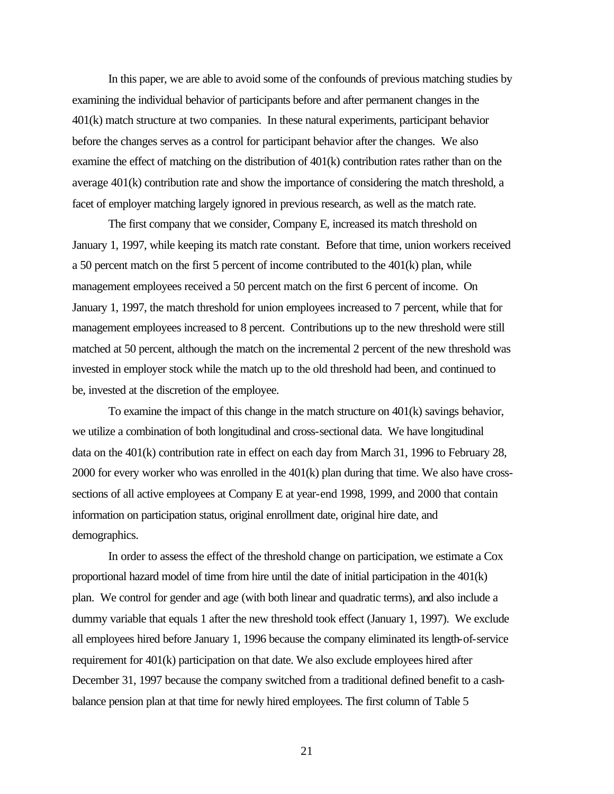In this paper, we are able to avoid some of the confounds of previous matching studies by examining the individual behavior of participants before and after permanent changes in the 401(k) match structure at two companies. In these natural experiments, participant behavior before the changes serves as a control for participant behavior after the changes. We also examine the effect of matching on the distribution of 401(k) contribution rates rather than on the average 401(k) contribution rate and show the importance of considering the match threshold, a facet of employer matching largely ignored in previous research, as well as the match rate.

The first company that we consider, Company E, increased its match threshold on January 1, 1997, while keeping its match rate constant. Before that time, union workers received a 50 percent match on the first 5 percent of income contributed to the 401(k) plan, while management employees received a 50 percent match on the first 6 percent of income. On January 1, 1997, the match threshold for union employees increased to 7 percent, while that for management employees increased to 8 percent. Contributions up to the new threshold were still matched at 50 percent, although the match on the incremental 2 percent of the new threshold was invested in employer stock while the match up to the old threshold had been, and continued to be, invested at the discretion of the employee.

To examine the impact of this change in the match structure on 401(k) savings behavior, we utilize a combination of both longitudinal and cross-sectional data. We have longitudinal data on the 401(k) contribution rate in effect on each day from March 31, 1996 to February 28, 2000 for every worker who was enrolled in the 401(k) plan during that time. We also have crosssections of all active employees at Company E at year-end 1998, 1999, and 2000 that contain information on participation status, original enrollment date, original hire date, and demographics.

In order to assess the effect of the threshold change on participation, we estimate a Cox proportional hazard model of time from hire until the date of initial participation in the 401(k) plan. We control for gender and age (with both linear and quadratic terms), and also include a dummy variable that equals 1 after the new threshold took effect (January 1, 1997). We exclude all employees hired before January 1, 1996 because the company eliminated its length-of-service requirement for 401(k) participation on that date. We also exclude employees hired after December 31, 1997 because the company switched from a traditional defined benefit to a cashbalance pension plan at that time for newly hired employees. The first column of Table 5

21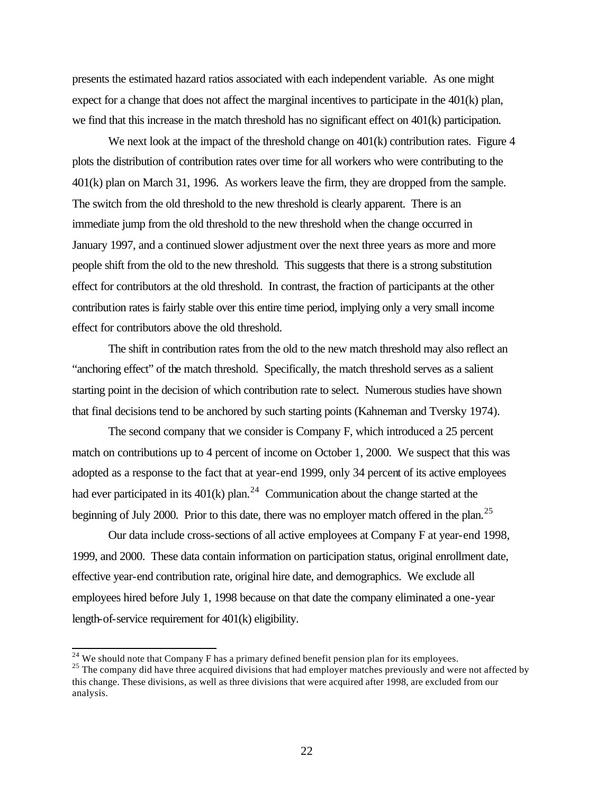presents the estimated hazard ratios associated with each independent variable. As one might expect for a change that does not affect the marginal incentives to participate in the  $401(k)$  plan, we find that this increase in the match threshold has no significant effect on 401(k) participation.

We next look at the impact of the threshold change on  $401(k)$  contribution rates. Figure 4 plots the distribution of contribution rates over time for all workers who were contributing to the 401(k) plan on March 31, 1996. As workers leave the firm, they are dropped from the sample. The switch from the old threshold to the new threshold is clearly apparent. There is an immediate jump from the old threshold to the new threshold when the change occurred in January 1997, and a continued slower adjustment over the next three years as more and more people shift from the old to the new threshold. This suggests that there is a strong substitution effect for contributors at the old threshold. In contrast, the fraction of participants at the other contribution rates is fairly stable over this entire time period, implying only a very small income effect for contributors above the old threshold.

The shift in contribution rates from the old to the new match threshold may also reflect an "anchoring effect" of the match threshold. Specifically, the match threshold serves as a salient starting point in the decision of which contribution rate to select. Numerous studies have shown that final decisions tend to be anchored by such starting points (Kahneman and Tversky 1974).

The second company that we consider is Company F, which introduced a 25 percent match on contributions up to 4 percent of income on October 1, 2000. We suspect that this was adopted as a response to the fact that at year-end 1999, only 34 percent of its active employees had ever participated in its  $401(k)$  plan.<sup>24</sup> Communication about the change started at the beginning of July 2000. Prior to this date, there was no employer match offered in the plan.<sup>25</sup>

Our data include cross-sections of all active employees at Company F at year-end 1998, 1999, and 2000. These data contain information on participation status, original enrollment date, effective year-end contribution rate, original hire date, and demographics. We exclude all employees hired before July 1, 1998 because on that date the company eliminated a one-year length-of-service requirement for 401(k) eligibility.

 $2<sup>24</sup>$  We should note that Company F has a primary defined benefit pension plan for its employees.

<sup>&</sup>lt;sup>25</sup> The company did have three acquired divisions that had employer matches previously and were not affected by this change. These divisions, as well as three divisions that were acquired after 1998, are excluded from our analysis.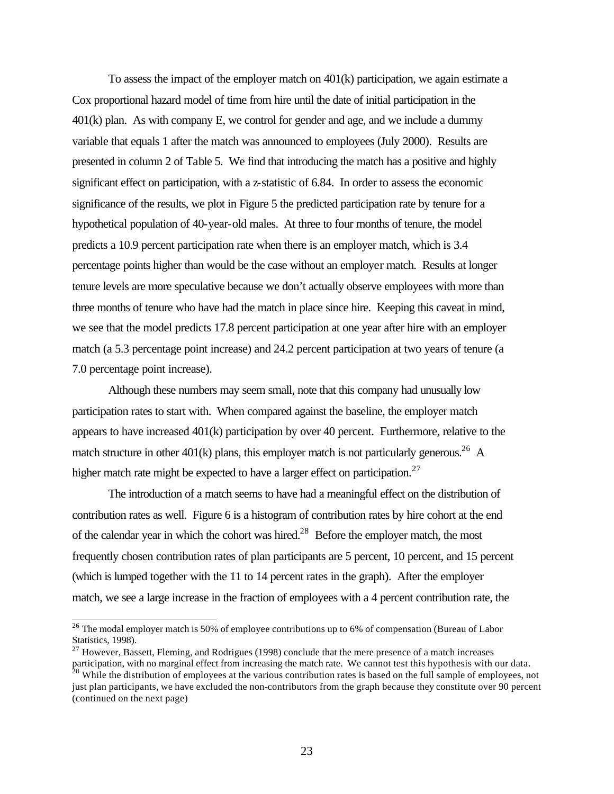To assess the impact of the employer match on 401(k) participation, we again estimate a Cox proportional hazard model of time from hire until the date of initial participation in the 401(k) plan. As with company E, we control for gender and age, and we include a dummy variable that equals 1 after the match was announced to employees (July 2000). Results are presented in column 2 of Table 5. We find that introducing the match has a positive and highly significant effect on participation, with a z-statistic of 6.84. In order to assess the economic significance of the results, we plot in Figure 5 the predicted participation rate by tenure for a hypothetical population of 40-year-old males. At three to four months of tenure, the model predicts a 10.9 percent participation rate when there is an employer match, which is 3.4 percentage points higher than would be the case without an employer match. Results at longer tenure levels are more speculative because we don't actually observe employees with more than three months of tenure who have had the match in place since hire. Keeping this caveat in mind, we see that the model predicts 17.8 percent participation at one year after hire with an employer match (a 5.3 percentage point increase) and 24.2 percent participation at two years of tenure (a 7.0 percentage point increase).

Although these numbers may seem small, note that this company had unusually low participation rates to start with. When compared against the baseline, the employer match appears to have increased 401(k) participation by over 40 percent. Furthermore, relative to the match structure in other  $401(k)$  plans, this employer match is not particularly generous.<sup>26</sup> A higher match rate might be expected to have a larger effect on participation.<sup>27</sup>

The introduction of a match seems to have had a meaningful effect on the distribution of contribution rates as well. Figure 6 is a histogram of contribution rates by hire cohort at the end of the calendar year in which the cohort was hired.<sup>28</sup> Before the employer match, the most frequently chosen contribution rates of plan participants are 5 percent, 10 percent, and 15 percent (which is lumped together with the 11 to 14 percent rates in the graph). After the employer match, we see a large increase in the fraction of employees with a 4 percent contribution rate, the

 $^{26}$  The modal employer match is 50% of employee contributions up to 6% of compensation (Bureau of Labor Statistics, 1998).

 $^{27}$  However, Bassett, Fleming, and Rodrigues (1998) conclude that the mere presence of a match increases participation, with no marginal effect from increasing the match rate. We cannot test this hypothesis with our data.  $^{28}$  While the distribution of employees at the various contribution rates is based on the full sample of employees, not just plan participants, we have excluded the non-contributors from the graph because they constitute over 90 percent (continued on the next page)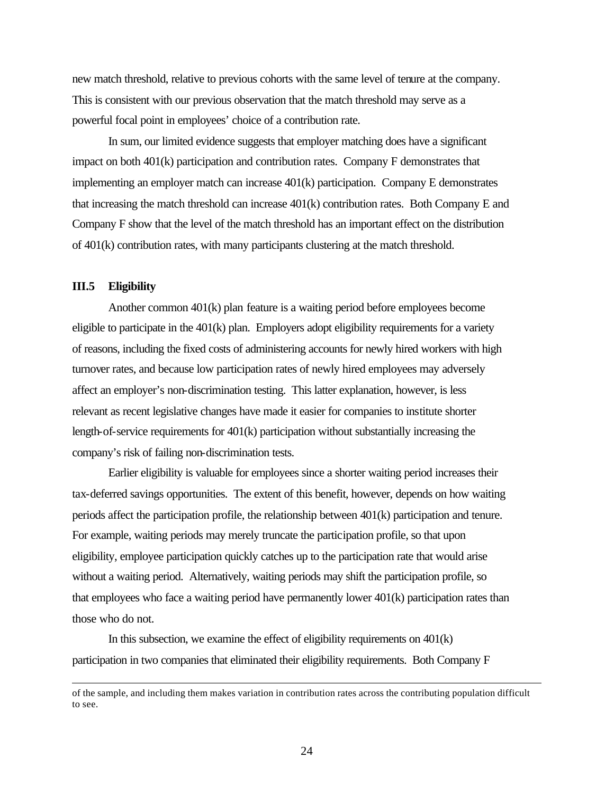new match threshold, relative to previous cohorts with the same level of tenure at the company. This is consistent with our previous observation that the match threshold may serve as a powerful focal point in employees' choice of a contribution rate.

In sum, our limited evidence suggests that employer matching does have a significant impact on both 401(k) participation and contribution rates. Company F demonstrates that implementing an employer match can increase 401(k) participation. Company E demonstrates that increasing the match threshold can increase 401(k) contribution rates. Both Company E and Company F show that the level of the match threshold has an important effect on the distribution of 401(k) contribution rates, with many participants clustering at the match threshold.

#### **III.5 Eligibility**

l

Another common 401(k) plan feature is a waiting period before employees become eligible to participate in the  $401(k)$  plan. Employers adopt eligibility requirements for a variety of reasons, including the fixed costs of administering accounts for newly hired workers with high turnover rates, and because low participation rates of newly hired employees may adversely affect an employer's non-discrimination testing. This latter explanation, however, is less relevant as recent legislative changes have made it easier for companies to institute shorter length-of-service requirements for 401(k) participation without substantially increasing the company's risk of failing non-discrimination tests.

Earlier eligibility is valuable for employees since a shorter waiting period increases their tax-deferred savings opportunities. The extent of this benefit, however, depends on how waiting periods affect the participation profile, the relationship between 401(k) participation and tenure. For example, waiting periods may merely truncate the participation profile, so that upon eligibility, employee participation quickly catches up to the participation rate that would arise without a waiting period. Alternatively, waiting periods may shift the participation profile, so that employees who face a waiting period have permanently lower 401(k) participation rates than those who do not.

In this subsection, we examine the effect of eligibility requirements on  $401(k)$ participation in two companies that eliminated their eligibility requirements. Both Company F

of the sample, and including them makes variation in contribution rates across the contributing population difficult to see.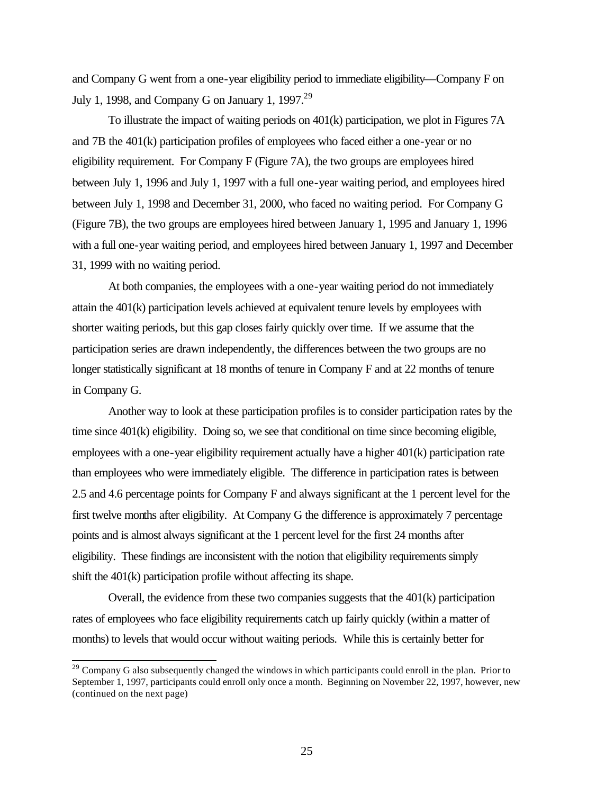and Company G went from a one-year eligibility period to immediate eligibility—Company F on July 1, 1998, and Company G on January 1, 1997.<sup>29</sup>

To illustrate the impact of waiting periods on 401(k) participation, we plot in Figures 7A and 7B the 401(k) participation profiles of employees who faced either a one-year or no eligibility requirement. For Company F (Figure 7A), the two groups are employees hired between July 1, 1996 and July 1, 1997 with a full one-year waiting period, and employees hired between July 1, 1998 and December 31, 2000, who faced no waiting period. For Company G (Figure 7B), the two groups are employees hired between January 1, 1995 and January 1, 1996 with a full one-year waiting period, and employees hired between January 1, 1997 and December 31, 1999 with no waiting period.

At both companies, the employees with a one-year waiting period do not immediately attain the 401(k) participation levels achieved at equivalent tenure levels by employees with shorter waiting periods, but this gap closes fairly quickly over time. If we assume that the participation series are drawn independently, the differences between the two groups are no longer statistically significant at 18 months of tenure in Company F and at 22 months of tenure in Company G.

Another way to look at these participation profiles is to consider participation rates by the time since 401(k) eligibility. Doing so, we see that conditional on time since becoming eligible, employees with a one-year eligibility requirement actually have a higher 401(k) participation rate than employees who were immediately eligible. The difference in participation rates is between 2.5 and 4.6 percentage points for Company F and always significant at the 1 percent level for the first twelve months after eligibility. At Company G the difference is approximately 7 percentage points and is almost always significant at the 1 percent level for the first 24 months after eligibility. These findings are inconsistent with the notion that eligibility requirements simply shift the 401(k) participation profile without affecting its shape.

Overall, the evidence from these two companies suggests that the 401(k) participation rates of employees who face eligibility requirements catch up fairly quickly (within a matter of months) to levels that would occur without waiting periods. While this is certainly better for

 $29$  Company G also subsequently changed the windows in which participants could enroll in the plan. Prior to September 1, 1997, participants could enroll only once a month. Beginning on November 22, 1997, however, new (continued on the next page)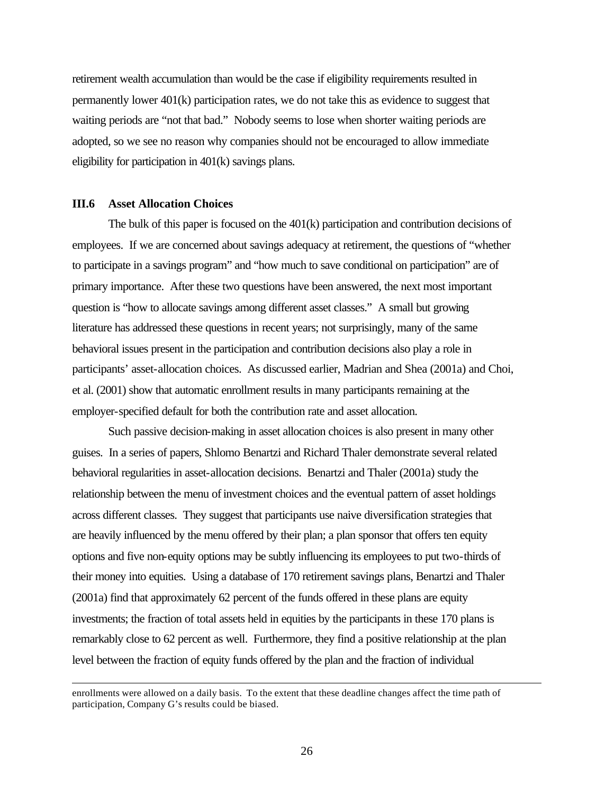retirement wealth accumulation than would be the case if eligibility requirements resulted in permanently lower 401(k) participation rates, we do not take this as evidence to suggest that waiting periods are "not that bad." Nobody seems to lose when shorter waiting periods are adopted, so we see no reason why companies should not be encouraged to allow immediate eligibility for participation in 401(k) savings plans.

#### **III.6 Asset Allocation Choices**

l

The bulk of this paper is focused on the 401(k) participation and contribution decisions of employees. If we are concerned about savings adequacy at retirement, the questions of "whether to participate in a savings program" and "how much to save conditional on participation" are of primary importance. After these two questions have been answered, the next most important question is "how to allocate savings among different asset classes." A small but growing literature has addressed these questions in recent years; not surprisingly, many of the same behavioral issues present in the participation and contribution decisions also play a role in participants' asset-allocation choices. As discussed earlier, Madrian and Shea (2001a) and Choi, et al. (2001) show that automatic enrollment results in many participants remaining at the employer-specified default for both the contribution rate and asset allocation.

Such passive decision-making in asset allocation choices is also present in many other guises. In a series of papers, Shlomo Benartzi and Richard Thaler demonstrate several related behavioral regularities in asset-allocation decisions. Benartzi and Thaler (2001a) study the relationship between the menu of investment choices and the eventual pattern of asset holdings across different classes. They suggest that participants use naive diversification strategies that are heavily influenced by the menu offered by their plan; a plan sponsor that offers ten equity options and five non-equity options may be subtly influencing its employees to put two-thirds of their money into equities. Using a database of 170 retirement savings plans, Benartzi and Thaler (2001a) find that approximately 62 percent of the funds offered in these plans are equity investments; the fraction of total assets held in equities by the participants in these 170 plans is remarkably close to 62 percent as well. Furthermore, they find a positive relationship at the plan level between the fraction of equity funds offered by the plan and the fraction of individual

enrollments were allowed on a daily basis. To the extent that these deadline changes affect the time path of participation, Company G's results could be biased.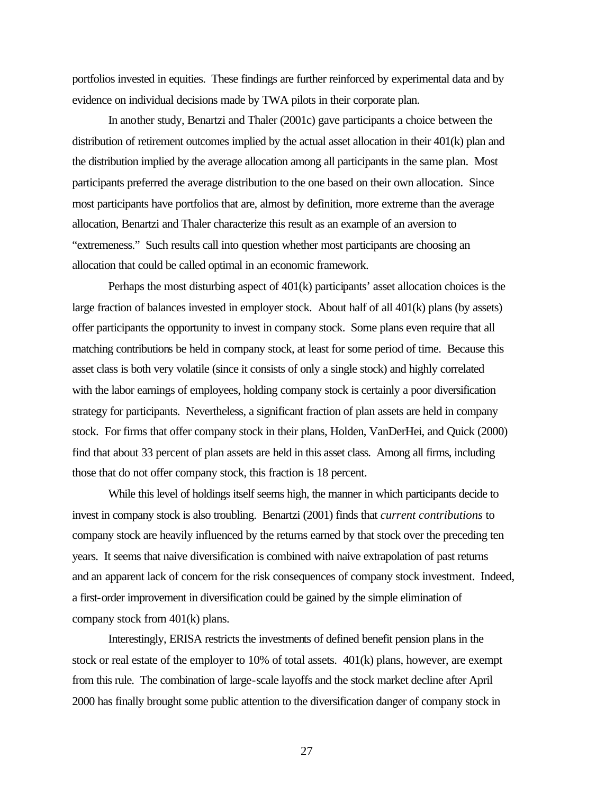portfolios invested in equities. These findings are further reinforced by experimental data and by evidence on individual decisions made by TWA pilots in their corporate plan.

In another study, Benartzi and Thaler (2001c) gave participants a choice between the distribution of retirement outcomes implied by the actual asset allocation in their 401(k) plan and the distribution implied by the average allocation among all participants in the same plan. Most participants preferred the average distribution to the one based on their own allocation. Since most participants have portfolios that are, almost by definition, more extreme than the average allocation, Benartzi and Thaler characterize this result as an example of an aversion to "extremeness." Such results call into question whether most participants are choosing an allocation that could be called optimal in an economic framework.

Perhaps the most disturbing aspect of 401(k) participants' asset allocation choices is the large fraction of balances invested in employer stock. About half of all 401(k) plans (by assets) offer participants the opportunity to invest in company stock. Some plans even require that all matching contributions be held in company stock, at least for some period of time. Because this asset class is both very volatile (since it consists of only a single stock) and highly correlated with the labor earnings of employees, holding company stock is certainly a poor diversification strategy for participants. Nevertheless, a significant fraction of plan assets are held in company stock. For firms that offer company stock in their plans, Holden, VanDerHei, and Quick (2000) find that about 33 percent of plan assets are held in this asset class. Among all firms, including those that do not offer company stock, this fraction is 18 percent.

While this level of holdings itself seems high, the manner in which participants decide to invest in company stock is also troubling. Benartzi (2001) finds that *current contributions* to company stock are heavily influenced by the returns earned by that stock over the preceding ten years. It seems that naive diversification is combined with naive extrapolation of past returns and an apparent lack of concern for the risk consequences of company stock investment. Indeed, a first-order improvement in diversification could be gained by the simple elimination of company stock from 401(k) plans.

Interestingly, ERISA restricts the investments of defined benefit pension plans in the stock or real estate of the employer to 10% of total assets. 401(k) plans, however, are exempt from this rule. The combination of large-scale layoffs and the stock market decline after April 2000 has finally brought some public attention to the diversification danger of company stock in

27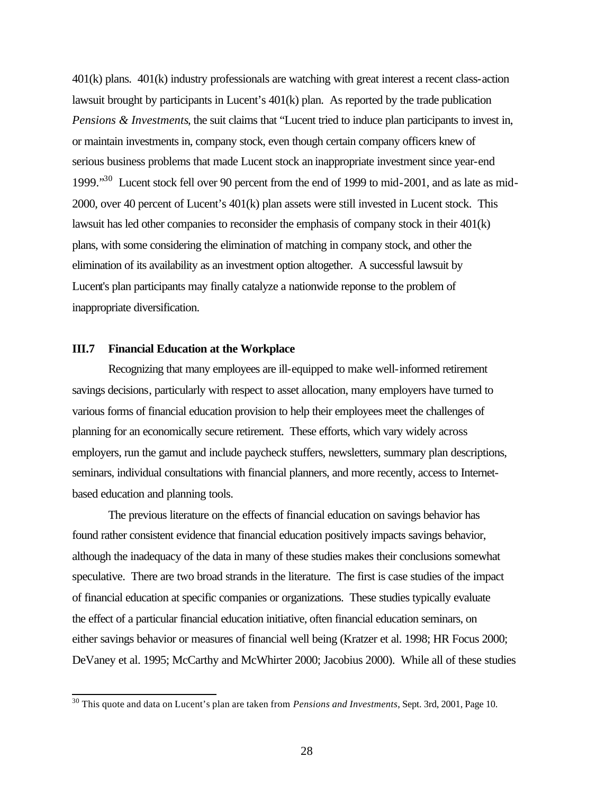401(k) plans. 401(k) industry professionals are watching with great interest a recent class-action lawsuit brought by participants in Lucent's 401(k) plan. As reported by the trade publication *Pensions & Investments*, the suit claims that "Lucent tried to induce plan participants to invest in, or maintain investments in, company stock, even though certain company officers knew of serious business problems that made Lucent stock an inappropriate investment since year-end 1999."<sup>30</sup> Lucent stock fell over 90 percent from the end of 1999 to mid-2001, and as late as mid-2000, over 40 percent of Lucent's 401(k) plan assets were still invested in Lucent stock. This lawsuit has led other companies to reconsider the emphasis of company stock in their 401(k) plans, with some considering the elimination of matching in company stock, and other the elimination of its availability as an investment option altogether. A successful lawsuit by Lucent's plan participants may finally catalyze a nationwide reponse to the problem of inappropriate diversification.

#### **III.7 Financial Education at the Workplace**

l

Recognizing that many employees are ill-equipped to make well-informed retirement savings decisions, particularly with respect to asset allocation, many employers have turned to various forms of financial education provision to help their employees meet the challenges of planning for an economically secure retirement. These efforts, which vary widely across employers, run the gamut and include paycheck stuffers, newsletters, summary plan descriptions, seminars, individual consultations with financial planners, and more recently, access to Internetbased education and planning tools.

The previous literature on the effects of financial education on savings behavior has found rather consistent evidence that financial education positively impacts savings behavior, although the inadequacy of the data in many of these studies makes their conclusions somewhat speculative. There are two broad strands in the literature. The first is case studies of the impact of financial education at specific companies or organizations. These studies typically evaluate the effect of a particular financial education initiative, often financial education seminars, on either savings behavior or measures of financial well being (Kratzer et al. 1998; HR Focus 2000; DeVaney et al. 1995; McCarthy and McWhirter 2000; Jacobius 2000). While all of these studies

<sup>30</sup> This quote and data on Lucent's plan are taken from *Pensions and Investments*, Sept. 3rd, 2001, Page 10.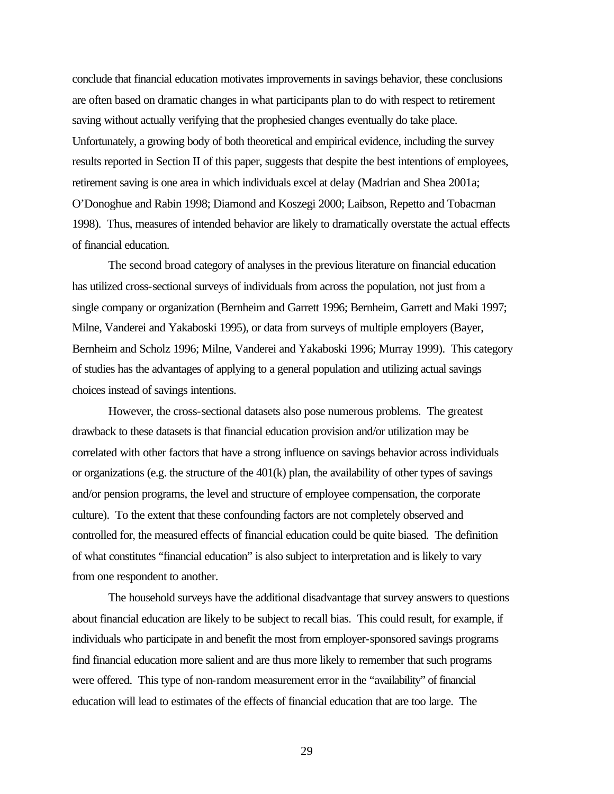conclude that financial education motivates improvements in savings behavior, these conclusions are often based on dramatic changes in what participants plan to do with respect to retirement saving without actually verifying that the prophesied changes eventually do take place. Unfortunately, a growing body of both theoretical and empirical evidence, including the survey results reported in Section II of this paper, suggests that despite the best intentions of employees, retirement saving is one area in which individuals excel at delay (Madrian and Shea 2001a; O'Donoghue and Rabin 1998; Diamond and Koszegi 2000; Laibson, Repetto and Tobacman 1998). Thus, measures of intended behavior are likely to dramatically overstate the actual effects of financial education.

The second broad category of analyses in the previous literature on financial education has utilized cross-sectional surveys of individuals from across the population, not just from a single company or organization (Bernheim and Garrett 1996; Bernheim, Garrett and Maki 1997; Milne, Vanderei and Yakaboski 1995), or data from surveys of multiple employers (Bayer, Bernheim and Scholz 1996; Milne, Vanderei and Yakaboski 1996; Murray 1999). This category of studies has the advantages of applying to a general population and utilizing actual savings choices instead of savings intentions.

However, the cross-sectional datasets also pose numerous problems. The greatest drawback to these datasets is that financial education provision and/or utilization may be correlated with other factors that have a strong influence on savings behavior across individuals or organizations (e.g. the structure of the  $401(k)$  plan, the availability of other types of savings and/or pension programs, the level and structure of employee compensation, the corporate culture). To the extent that these confounding factors are not completely observed and controlled for, the measured effects of financial education could be quite biased. The definition of what constitutes "financial education" is also subject to interpretation and is likely to vary from one respondent to another.

The household surveys have the additional disadvantage that survey answers to questions about financial education are likely to be subject to recall bias. This could result, for example, if individuals who participate in and benefit the most from employer-sponsored savings programs find financial education more salient and are thus more likely to remember that such programs were offered. This type of non-random measurement error in the "availability" of financial education will lead to estimates of the effects of financial education that are too large. The

29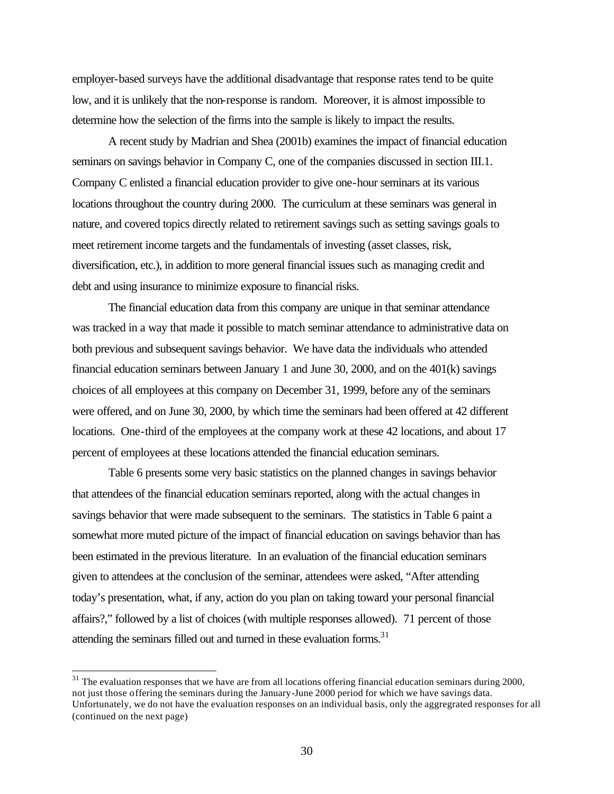employer-based surveys have the additional disadvantage that response rates tend to be quite low, and it is unlikely that the non-response is random. Moreover, it is almost impossible to determine how the selection of the firms into the sample is likely to impact the results.

A recent study by Madrian and Shea (2001b) examines the impact of financial education seminars on savings behavior in Company C, one of the companies discussed in section III.1. Company C enlisted a financial education provider to give one-hour seminars at its various locations throughout the country during 2000. The curriculum at these seminars was general in nature, and covered topics directly related to retirement savings such as setting savings goals to meet retirement income targets and the fundamentals of investing (asset classes, risk, diversification, etc.), in addition to more general financial issues such as managing credit and debt and using insurance to minimize exposure to financial risks.

The financial education data from this company are unique in that seminar attendance was tracked in a way that made it possible to match seminar attendance to administrative data on both previous and subsequent savings behavior. We have data the individuals who attended financial education seminars between January 1 and June 30, 2000, and on the 401(k) savings choices of all employees at this company on December 31, 1999, before any of the seminars were offered, and on June 30, 2000, by which time the seminars had been offered at 42 different locations. One-third of the employees at the company work at these 42 locations, and about 17 percent of employees at these locations attended the financial education seminars.

Table 6 presents some very basic statistics on the planned changes in savings behavior that attendees of the financial education seminars reported, along with the actual changes in savings behavior that were made subsequent to the seminars. The statistics in Table 6 paint a somewhat more muted picture of the impact of financial education on savings behavior than has been estimated in the previous literature. In an evaluation of the financial education seminars given to attendees at the conclusion of the seminar, attendees were asked, "After attending today's presentation, what, if any, action do you plan on taking toward your personal financial affairs?," followed by a list of choices (with multiple responses allowed). 71 percent of those attending the seminars filled out and turned in these evaluation forms.<sup>31</sup>

 $31$  The evaluation responses that we have are from all locations offering financial education seminars during 2000, not just those offering the seminars during the January-June 2000 period for which we have savings data. Unfortunately, we do not have the evaluation responses on an individual basis, only the aggregrated responses for all (continued on the next page)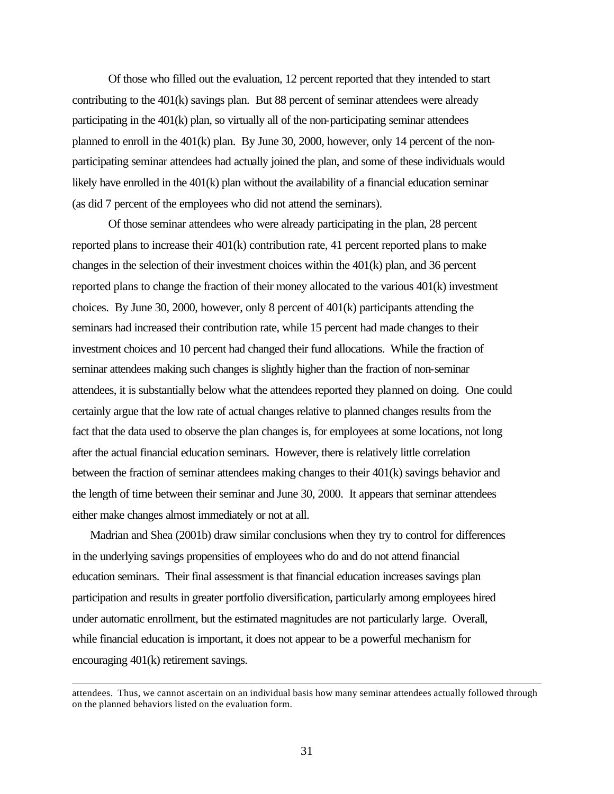Of those who filled out the evaluation, 12 percent reported that they intended to start contributing to the  $401(k)$  savings plan. But 88 percent of seminar attendees were already participating in the 401(k) plan, so virtually all of the non-participating seminar attendees planned to enroll in the 401(k) plan. By June 30, 2000, however, only 14 percent of the nonparticipating seminar attendees had actually joined the plan, and some of these individuals would likely have enrolled in the 401(k) plan without the availability of a financial education seminar (as did 7 percent of the employees who did not attend the seminars).

Of those seminar attendees who were already participating in the plan, 28 percent reported plans to increase their 401(k) contribution rate, 41 percent reported plans to make changes in the selection of their investment choices within the 401(k) plan, and 36 percent reported plans to change the fraction of their money allocated to the various 401(k) investment choices. By June 30, 2000, however, only 8 percent of 401(k) participants attending the seminars had increased their contribution rate, while 15 percent had made changes to their investment choices and 10 percent had changed their fund allocations. While the fraction of seminar attendees making such changes is slightly higher than the fraction of non-seminar attendees, it is substantially below what the attendees reported they planned on doing. One could certainly argue that the low rate of actual changes relative to planned changes results from the fact that the data used to observe the plan changes is, for employees at some locations, not long after the actual financial education seminars. However, there is relatively little correlation between the fraction of seminar attendees making changes to their 401(k) savings behavior and the length of time between their seminar and June 30, 2000. It appears that seminar attendees either make changes almost immediately or not at all.

Madrian and Shea (2001b) draw similar conclusions when they try to control for differences in the underlying savings propensities of employees who do and do not attend financial education seminars. Their final assessment is that financial education increases savings plan participation and results in greater portfolio diversification, particularly among employees hired under automatic enrollment, but the estimated magnitudes are not particularly large. Overall, while financial education is important, it does not appear to be a powerful mechanism for encouraging 401(k) retirement savings.

attendees. Thus, we cannot ascertain on an individual basis how many seminar attendees actually followed through on the planned behaviors listed on the evaluation form.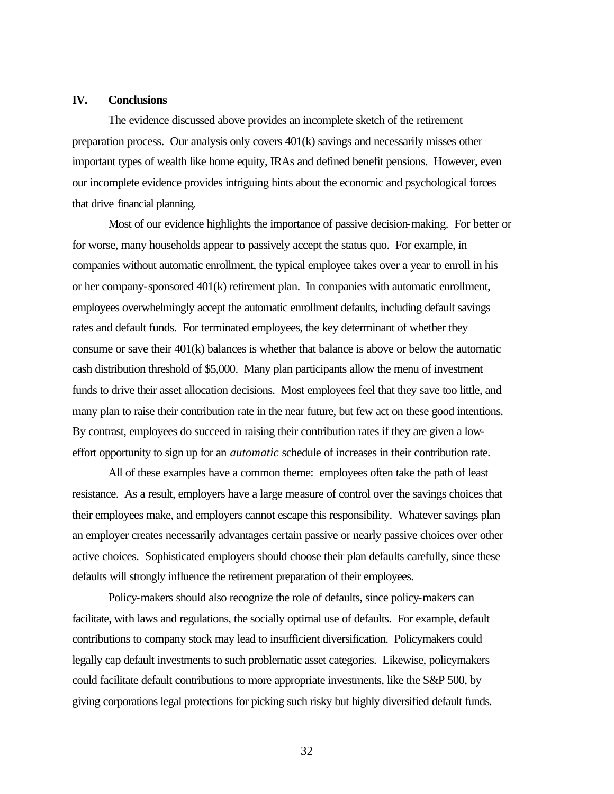#### **IV. Conclusions**

The evidence discussed above provides an incomplete sketch of the retirement preparation process. Our analysis only covers 401(k) savings and necessarily misses other important types of wealth like home equity, IRAs and defined benefit pensions. However, even our incomplete evidence provides intriguing hints about the economic and psychological forces that drive financial planning.

Most of our evidence highlights the importance of passive decision-making. For better or for worse, many households appear to passively accept the status quo. For example, in companies without automatic enrollment, the typical employee takes over a year to enroll in his or her company-sponsored 401(k) retirement plan. In companies with automatic enrollment, employees overwhelmingly accept the automatic enrollment defaults, including default savings rates and default funds. For terminated employees, the key determinant of whether they consume or save their  $401(k)$  balances is whether that balance is above or below the automatic cash distribution threshold of \$5,000. Many plan participants allow the menu of investment funds to drive their asset allocation decisions. Most employees feel that they save too little, and many plan to raise their contribution rate in the near future, but few act on these good intentions. By contrast, employees do succeed in raising their contribution rates if they are given a loweffort opportunity to sign up for an *automatic* schedule of increases in their contribution rate.

All of these examples have a common theme: employees often take the path of least resistance. As a result, employers have a large measure of control over the savings choices that their employees make, and employers cannot escape this responsibility. Whatever savings plan an employer creates necessarily advantages certain passive or nearly passive choices over other active choices. Sophisticated employers should choose their plan defaults carefully, since these defaults will strongly influence the retirement preparation of their employees.

Policy-makers should also recognize the role of defaults, since policy-makers can facilitate, with laws and regulations, the socially optimal use of defaults. For example, default contributions to company stock may lead to insufficient diversification. Policymakers could legally cap default investments to such problematic asset categories. Likewise, policymakers could facilitate default contributions to more appropriate investments, like the S&P 500, by giving corporations legal protections for picking such risky but highly diversified default funds.

32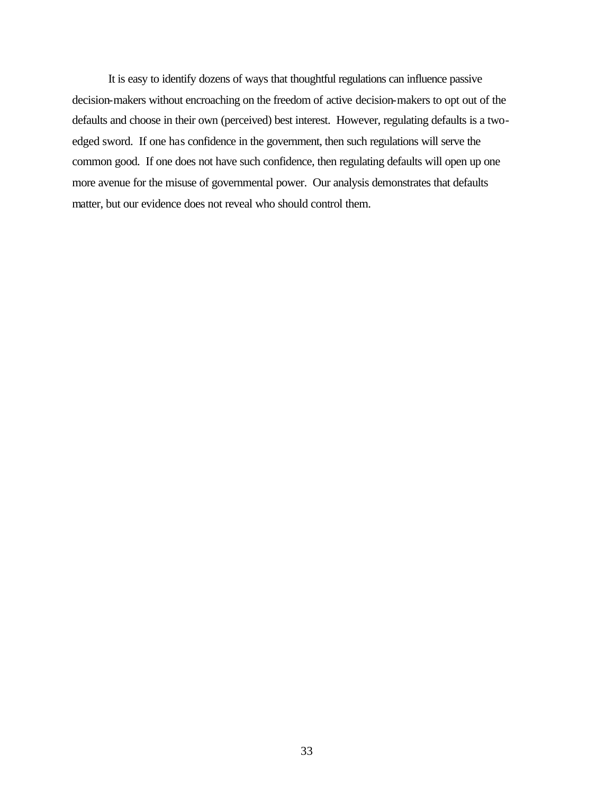It is easy to identify dozens of ways that thoughtful regulations can influence passive decision-makers without encroaching on the freedom of active decision-makers to opt out of the defaults and choose in their own (perceived) best interest. However, regulating defaults is a twoedged sword. If one has confidence in the government, then such regulations will serve the common good. If one does not have such confidence, then regulating defaults will open up one more avenue for the misuse of governmental power. Our analysis demonstrates that defaults matter, but our evidence does not reveal who should control them.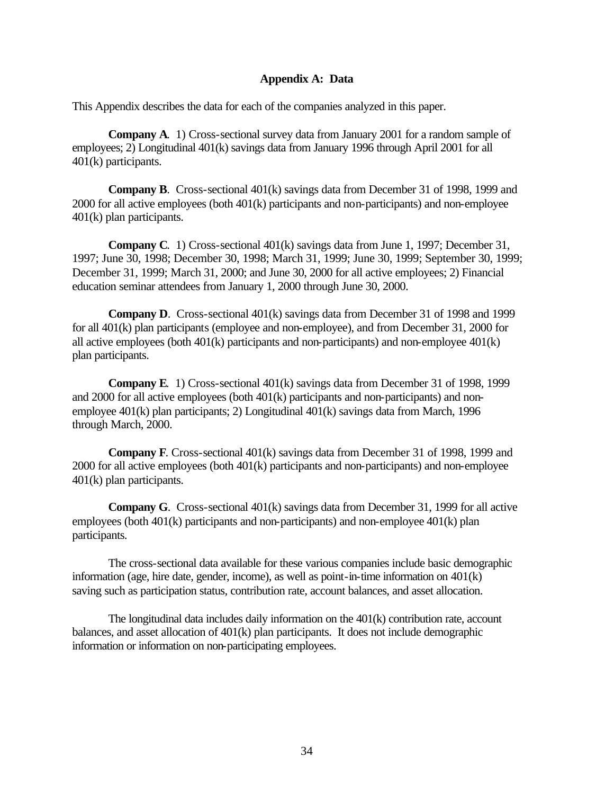#### **Appendix A: Data**

This Appendix describes the data for each of the companies analyzed in this paper.

**Company A**. 1) Cross-sectional survey data from January 2001 for a random sample of employees; 2) Longitudinal 401(k) savings data from January 1996 through April 2001 for all 401(k) participants.

**Company B**. Cross-sectional 401(k) savings data from December 31 of 1998, 1999 and 2000 for all active employees (both 401(k) participants and non-participants) and non-employee 401(k) plan participants.

**Company C**. 1) Cross-sectional 401(k) savings data from June 1, 1997; December 31, 1997; June 30, 1998; December 30, 1998; March 31, 1999; June 30, 1999; September 30, 1999; December 31, 1999; March 31, 2000; and June 30, 2000 for all active employees; 2) Financial education seminar attendees from January 1, 2000 through June 30, 2000.

**Company D**. Cross-sectional 401(k) savings data from December 31 of 1998 and 1999 for all 401(k) plan participants (employee and non-employee), and from December 31, 2000 for all active employees (both 401(k) participants and non-participants) and non-employee 401(k) plan participants.

**Company E**. 1) Cross-sectional 401(k) savings data from December 31 of 1998, 1999 and 2000 for all active employees (both 401(k) participants and non-participants) and nonemployee 401(k) plan participants; 2) Longitudinal 401(k) savings data from March, 1996 through March, 2000.

**Company F**. Cross-sectional 401(k) savings data from December 31 of 1998, 1999 and 2000 for all active employees (both 401(k) participants and non-participants) and non-employee 401(k) plan participants.

**Company G**. Cross-sectional 401(k) savings data from December 31, 1999 for all active employees (both 401(k) participants and non-participants) and non-employee 401(k) plan participants.

The cross-sectional data available for these various companies include basic demographic information (age, hire date, gender, income), as well as point-in-time information on  $401(k)$ saving such as participation status, contribution rate, account balances, and asset allocation.

The longitudinal data includes daily information on the 401(k) contribution rate, account balances, and asset allocation of  $401(k)$  plan participants. It does not include demographic information or information on non-participating employees.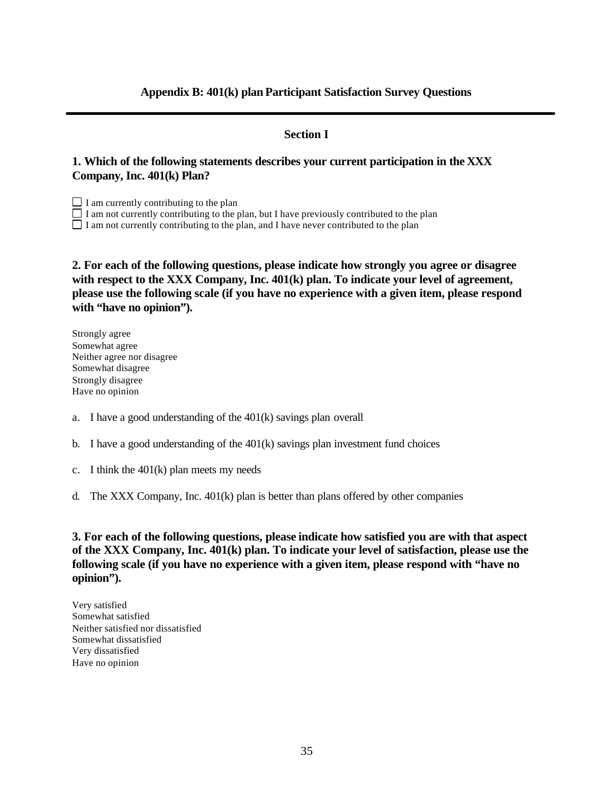## **Appendix B: 401(k) plan Participant Satisfaction Survey Questions**

#### **Section I**

# **1. Which of the following statements describes your current participation in the XXX Company, Inc. 401(k) Plan?**

 $\Box$  I am currently contributing to the plan

 $\Box$  I am not currently contributing to the plan, but I have previously contributed to the plan

 $\Box$  I am not currently contributing to the plan, and I have never contributed to the plan

**2. For each of the following questions, please indicate how strongly you agree or disagree with respect to the XXX Company, Inc. 401(k) plan. To indicate your level of agreement, please use the following scale (if you have no experience with a given item, please respond with "have no opinion").**

Strongly agree Somewhat agree Neither agree nor disagree Somewhat disagree Strongly disagree Have no opinion

- a. I have a good understanding of the 401(k) savings plan overall
- b. I have a good understanding of the 401(k) savings plan investment fund choices
- c. I think the  $401(k)$  plan meets my needs
- d. The XXX Company, Inc. 401(k) plan is better than plans offered by other companies

**3. For each of the following questions, please indicate how satisfied you are with that aspect of the XXX Company, Inc. 401(k) plan. To indicate your level of satisfaction, please use the following scale (if you have no experience with a given item, please respond with "have no opinion").**

Very satisfied Somewhat satisfied Neither satisfied nor dissatisfied Somewhat dissatisfied Very dissatisfied Have no opinion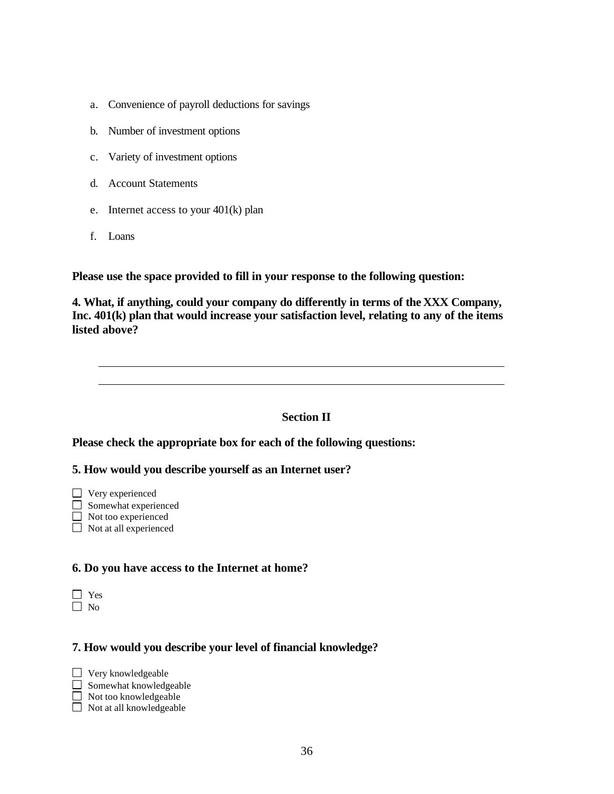- a. Convenience of payroll deductions for savings
- b. Number of investment options
- c. Variety of investment options
- d. Account Statements
- e. Internet access to your 401(k) plan
- f. Loans

**Please use the space provided to fill in your response to the following question:** 

**4. What, if anything, could your company do differently in terms of the XXX Company, Inc. 401(k) plan that would increase your satisfaction level, relating to any of the items listed above?** 

**Section II**

#### **Please check the appropriate box for each of the following questions:**

#### **5. How would you describe yourself as an Internet user?**

 Very experienced  $\Box$  Somewhat experienced Not too experienced

 $\Box$  Not at all experienced

#### **6. Do you have access to the Internet at home?**

□ Yes  $\Box$  No

#### **7. How would you describe your level of financial knowledge?**

**Very knowledgeable** 

- $\Box$  Somewhat knowledgeable
- $\Box$  Not too knowledgeable

 $\Box$  Not at all knowledgeable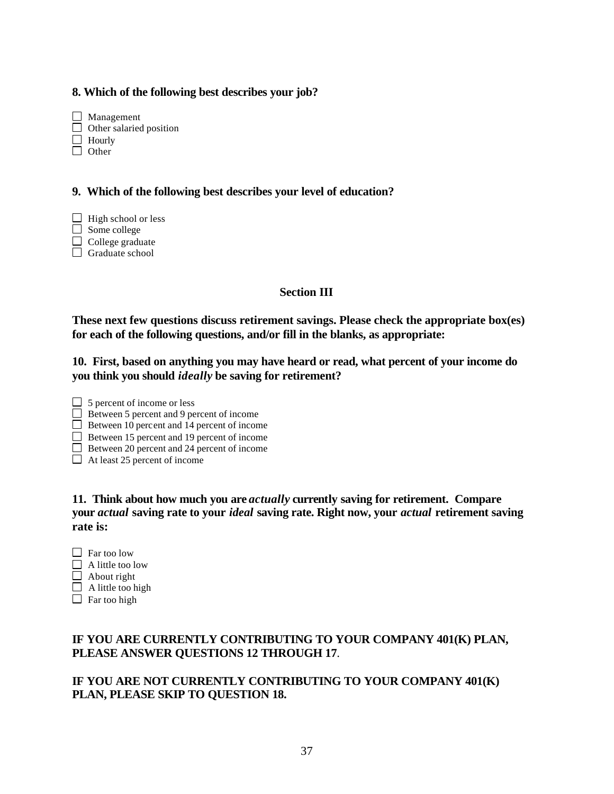#### **8. Which of the following best describes your job?**

| $\Box$ Management              |
|--------------------------------|
| $\Box$ Other salaried position |
| $\Box$ Hourly                  |
| $\Box$ Other                   |

# **9. Which of the following best describes your level of education?**

 $\Box$  High school or less  $\Box$  Some college  $\Box$  College graduate  $\Box$  Graduate school

#### **Section III**

**These next few questions discuss retirement savings. Please check the appropriate box(es) for each of the following questions, and/or fill in the blanks, as appropriate:**

**10. First, based on anything you may have heard or read, what percent of your income do you think you should** *ideally* **be saving for retirement?**

- $\Box$  5 percent of income or less
- $\Box$  Between 5 percent and 9 percent of income
- $\Box$  Between 10 percent and 14 percent of income

 $\Box$  Between 15 percent and 19 percent of income

- $\Box$  Between 20 percent and 24 percent of income
- $\Box$  At least 25 percent of income

**11. Think about how much you are** *actually* **currently saving for retirement. Compare your** *actual* **saving rate to your** *ideal* **saving rate. Right now, your** *actual* **retirement saving rate is:**

| $\blacksquare$ Far too low |
|----------------------------|
| $\Box$ A little too low    |
| $\Box$ About right         |
| $\perp$ A little too high  |
| $\Box$ Far too high        |

# **IF YOU ARE CURRENTLY CONTRIBUTING TO YOUR COMPANY 401(K) PLAN, PLEASE ANSWER QUESTIONS 12 THROUGH 17**.

**IF YOU ARE NOT CURRENTLY CONTRIBUTING TO YOUR COMPANY 401(K) PLAN, PLEASE SKIP TO QUESTION 18.**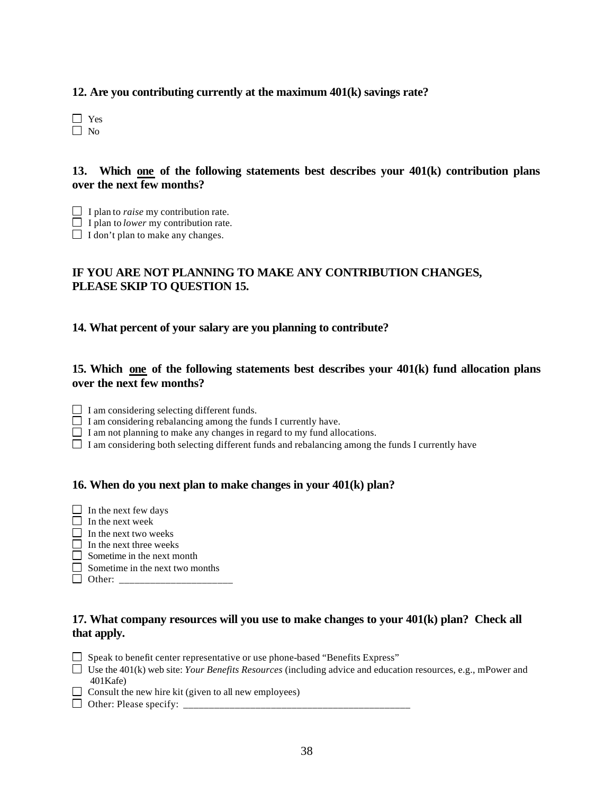#### **12. Are you contributing currently at the maximum 401(k) savings rate?**

□ Yes  $\Box$  No

## **13. Which one of the following statements best describes your 401(k) contribution plans over the next few months?**

- $\Box$  I plan to *raise* my contribution rate.
- $\Box$  I plan to *lower* my contribution rate.
- $\Box$  I don't plan to make any changes.

# **IF YOU ARE NOT PLANNING TO MAKE ANY CONTRIBUTION CHANGES, PLEASE SKIP TO QUESTION 15.**

#### **14. What percent of your salary are you planning to contribute?**

# **15. Which one of the following statements best describes your 401(k) fund allocation plans over the next few months?**

- $\Box$  I am considering selecting different funds.
- $\Box$  I am considering rebalancing among the funds I currently have.
- $\Box$  I am not planning to make any changes in regard to my fund allocations.
- $\Box$  I am considering both selecting different funds and rebalancing among the funds I currently have

## **16. When do you next plan to make changes in your 401(k) plan?**

- $\Box$  In the next few days
- $\Box$  In the next week  $\Box$  In the next two weeks
- $\Box$  In the next three weeks
- $\Box$  Sometime in the next month
- $\Box$  Sometime in the next two months
- $\Box$  Other:

## **17. What company resources will you use to make changes to your 401(k) plan? Check all that apply.**

- Speak to benefit center representative or use phone-based "Benefits Express"
- Use the 401(k) web site: *Your Benefits Resources* (including advice and education resources, e.g., mPower and 401Kafe)
- $\Box$  Consult the new hire kit (given to all new employees)
- Other: Please specify: \_\_\_\_\_\_\_\_\_\_\_\_\_\_\_\_\_\_\_\_\_\_\_\_\_\_\_\_\_\_\_\_\_\_\_\_\_\_\_\_\_\_\_\_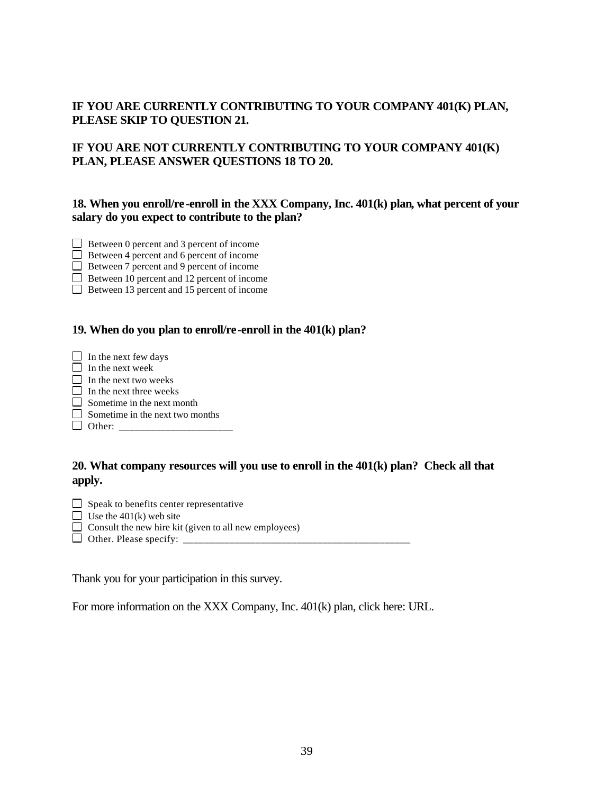# **IF YOU ARE CURRENTLY CONTRIBUTING TO YOUR COMPANY 401(K) PLAN, PLEASE SKIP TO QUESTION 21.**

# **IF YOU ARE NOT CURRENTLY CONTRIBUTING TO YOUR COMPANY 401(K) PLAN, PLEASE ANSWER QUESTIONS 18 TO 20.**

# **18. When you enroll/re-enroll in the XXX Company, Inc. 401(k) plan, what percent of your salary do you expect to contribute to the plan?**

- $\Box$  Between 0 percent and 3 percent of income
- $\Box$  Between 4 percent and 6 percent of income
- $\Box$  Between 7 percent and 9 percent of income
- $\Box$  Between 10 percent and 12 percent of income
- $\Box$  Between 13 percent and 15 percent of income

#### **19. When do you plan to enroll/re-enroll in the 401(k) plan?**

 $\Box$  In the next few days  $\Box$  In the next week  $\Box$  In the next two weeks  $\Box$  In the next three weeks  $\Box$  Sometime in the next month  $\Box$  Sometime in the next two months Other: \_\_\_\_\_\_\_\_\_\_\_\_\_\_\_\_\_\_\_\_\_\_

# **20. What company resources will you use to enroll in the 401(k) plan? Check all that apply.**

- $\Box$  Speak to benefits center representative
- $\Box$  Use the 401(k) web site
- $\Box$  Consult the new hire kit (given to all new employees)
- Other. Please specify: \_\_\_\_\_\_\_\_\_\_\_\_\_\_\_\_\_\_\_\_\_\_\_\_\_\_\_\_\_\_\_\_\_\_\_\_\_\_\_\_\_\_\_\_

Thank you for your participation in this survey.

For more information on the XXX Company, Inc. 401(k) plan, click here: URL.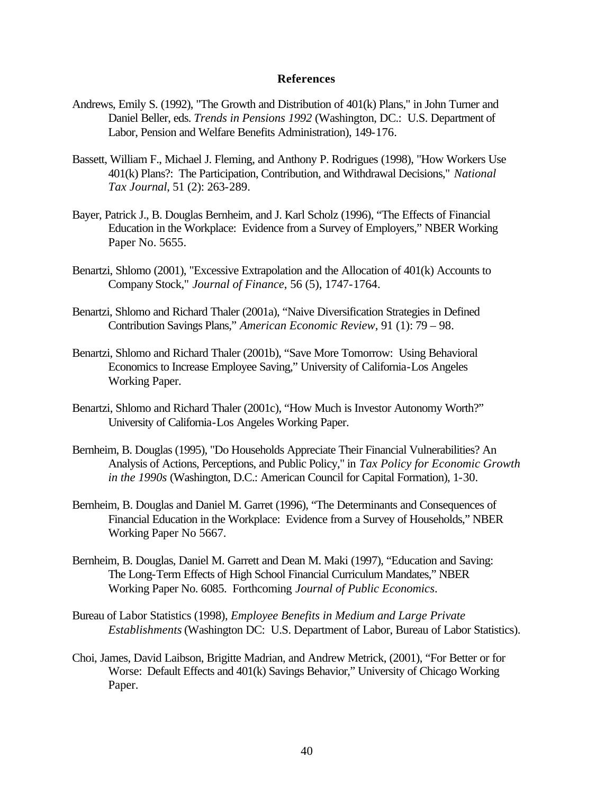#### **References**

- Andrews, Emily S. (1992), "The Growth and Distribution of 401(k) Plans," in John Turner and Daniel Beller, eds. *Trends in Pensions 1992* (Washington, DC.: U.S. Department of Labor, Pension and Welfare Benefits Administration), 149-176.
- Bassett, William F., Michael J. Fleming, and Anthony P. Rodrigues (1998), "How Workers Use 401(k) Plans?: The Participation, Contribution, and Withdrawal Decisions," *National Tax Journal*, 51 (2): 263-289.
- Bayer, Patrick J., B. Douglas Bernheim, and J. Karl Scholz (1996), "The Effects of Financial Education in the Workplace: Evidence from a Survey of Employers," NBER Working Paper No. 5655.
- Benartzi, Shlomo (2001), "Excessive Extrapolation and the Allocation of 401(k) Accounts to Company Stock," *Journal of Finance*, 56 (5), 1747-1764.
- Benartzi, Shlomo and Richard Thaler (2001a), "Naive Diversification Strategies in Defined Contribution Savings Plans," *American Economic Review*, 91 (1): 79 – 98.
- Benartzi, Shlomo and Richard Thaler (2001b), "Save More Tomorrow: Using Behavioral Economics to Increase Employee Saving," University of California-Los Angeles Working Paper.
- Benartzi, Shlomo and Richard Thaler (2001c), "How Much is Investor Autonomy Worth?" University of California-Los Angeles Working Paper.
- Bernheim, B. Douglas (1995), "Do Households Appreciate Their Financial Vulnerabilities? An Analysis of Actions, Perceptions, and Public Policy," in *Tax Policy for Economic Growth in the 1990s* (Washington, D.C.: American Council for Capital Formation), 1-30.
- Bernheim, B. Douglas and Daniel M. Garret (1996), "The Determinants and Consequences of Financial Education in the Workplace: Evidence from a Survey of Households," NBER Working Paper No 5667.
- Bernheim, B. Douglas, Daniel M. Garrett and Dean M. Maki (1997), "Education and Saving: The Long-Term Effects of High School Financial Curriculum Mandates," NBER Working Paper No. 6085. Forthcoming *Journal of Public Economics*.
- Bureau of Labor Statistics (1998), *Employee Benefits in Medium and Large Private Establishments* (Washington DC: U.S. Department of Labor, Bureau of Labor Statistics).
- Choi, James, David Laibson, Brigitte Madrian, and Andrew Metrick, (2001), "For Better or for Worse: Default Effects and 401(k) Savings Behavior," University of Chicago Working Paper.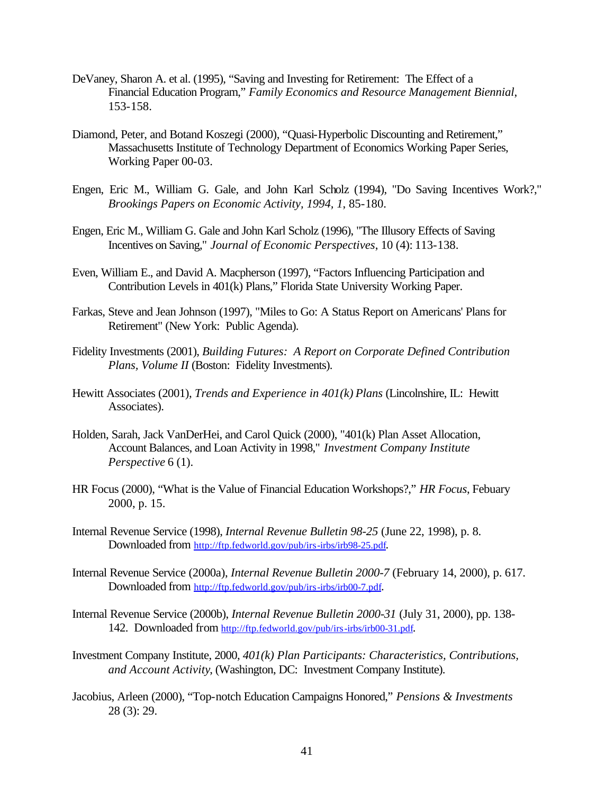- DeVaney, Sharon A. et al. (1995), "Saving and Investing for Retirement: The Effect of a Financial Education Program," *Family Economics and Resource Management Biennial*, 153-158.
- Diamond, Peter, and Botand Koszegi (2000), "Quasi-Hyperbolic Discounting and Retirement," Massachusetts Institute of Technology Department of Economics Working Paper Series, Working Paper 00-03.
- Engen, Eric M., William G. Gale, and John Karl Scholz (1994), "Do Saving Incentives Work?," *Brookings Papers on Economic Activity, 1994, 1*, 85-180.
- Engen, Eric M., William G. Gale and John Karl Scholz (1996), "The Illusory Effects of Saving Incentives on Saving," *Journal of Economic Perspectives*, 10 (4): 113-138.
- Even, William E., and David A. Macpherson (1997), "Factors Influencing Participation and Contribution Levels in 401(k) Plans," Florida State University Working Paper.
- Farkas, Steve and Jean Johnson (1997), "Miles to Go: A Status Report on Americans' Plans for Retirement" (New York: Public Agenda).
- Fidelity Investments (2001), *Building Futures: A Report on Corporate Defined Contribution Plans, Volume II* (Boston: Fidelity Investments).
- Hewitt Associates (2001), *Trends and Experience in 401(k) Plans* (Lincolnshire, IL: Hewitt Associates).
- Holden, Sarah, Jack VanDerHei, and Carol Quick (2000), "401(k) Plan Asset Allocation, Account Balances, and Loan Activity in 1998," *Investment Company Institute Perspective* 6 (1).
- HR Focus (2000), "What is the Value of Financial Education Workshops?," *HR Focus*, Febuary 2000, p. 15.
- Internal Revenue Service (1998), *Internal Revenue Bulletin 98-25* (June 22, 1998), p. 8. Downloaded from http://ftp.fedworld.gov/pub/irs-irbs/irb98-25.pdf.
- Internal Revenue Service (2000a), *Internal Revenue Bulletin 2000-7* (February 14, 2000), p. 617. Downloaded from http://ftp.fedworld.gov/pub/irs-irbs/irb00-7.pdf.
- Internal Revenue Service (2000b), *Internal Revenue Bulletin 2000-31* (July 31, 2000), pp. 138- 142. Downloaded from http://ftp.fedworld.gov/pub/irs-irbs/irb00-31.pdf.
- Investment Company Institute, 2000, *401(k) Plan Participants: Characteristics, Contributions, and Account Activity*, (Washington, DC: Investment Company Institute).
- Jacobius, Arleen (2000), "Top-notch Education Campaigns Honored," *Pensions & Investments* 28 (3): 29.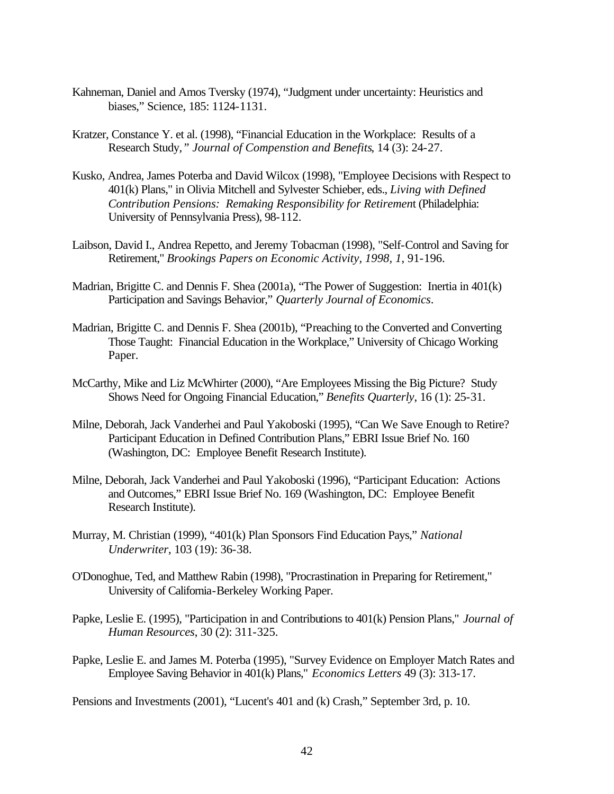- Kahneman, Daniel and Amos Tversky (1974), "Judgment under uncertainty: Heuristics and biases," Science, 185: 1124-1131.
- Kratzer, Constance Y. et al. (1998), "Financial Education in the Workplace: Results of a Research Study,*" Journal of Compenstion and Benefits*, 14 (3): 24-27.
- Kusko, Andrea, James Poterba and David Wilcox (1998), "Employee Decisions with Respect to 401(k) Plans," in Olivia Mitchell and Sylvester Schieber, eds., *Living with Defined Contribution Pensions: Remaking Responsibility for Retiremen*t (Philadelphia: University of Pennsylvania Press), 98-112.
- Laibson, David I., Andrea Repetto, and Jeremy Tobacman (1998), "Self-Control and Saving for Retirement," *Brookings Papers on Economic Activity, 1998, 1*, 91-196.
- Madrian, Brigitte C. and Dennis F. Shea (2001a), "The Power of Suggestion: Inertia in 401(k) Participation and Savings Behavior," *Quarterly Journal of Economics*.
- Madrian, Brigitte C. and Dennis F. Shea (2001b), "Preaching to the Converted and Converting Those Taught: Financial Education in the Workplace," University of Chicago Working Paper.
- McCarthy, Mike and Liz McWhirter (2000), "Are Employees Missing the Big Picture? Study Shows Need for Ongoing Financial Education," *Benefits Quarterly*, 16 (1): 25-31.
- Milne, Deborah, Jack Vanderhei and Paul Yakoboski (1995), "Can We Save Enough to Retire? Participant Education in Defined Contribution Plans," EBRI Issue Brief No. 160 (Washington, DC: Employee Benefit Research Institute).
- Milne, Deborah, Jack Vanderhei and Paul Yakoboski (1996), "Participant Education: Actions and Outcomes," EBRI Issue Brief No. 169 (Washington, DC: Employee Benefit Research Institute).
- Murray, M. Christian (1999), "401(k) Plan Sponsors Find Education Pays," *National Underwriter*, 103 (19): 36-38.
- O'Donoghue, Ted, and Matthew Rabin (1998), "Procrastination in Preparing for Retirement," University of California-Berkeley Working Paper.
- Papke, Leslie E. (1995), "Participation in and Contributions to 401(k) Pension Plans," *Journal of Human Resources*, 30 (2): 311-325.
- Papke, Leslie E. and James M. Poterba (1995), "Survey Evidence on Employer Match Rates and Employee Saving Behavior in 401(k) Plans," *Economics Letters* 49 (3): 313-17.

Pensions and Investments (2001), "Lucent's 401 and (k) Crash," September 3rd, p. 10.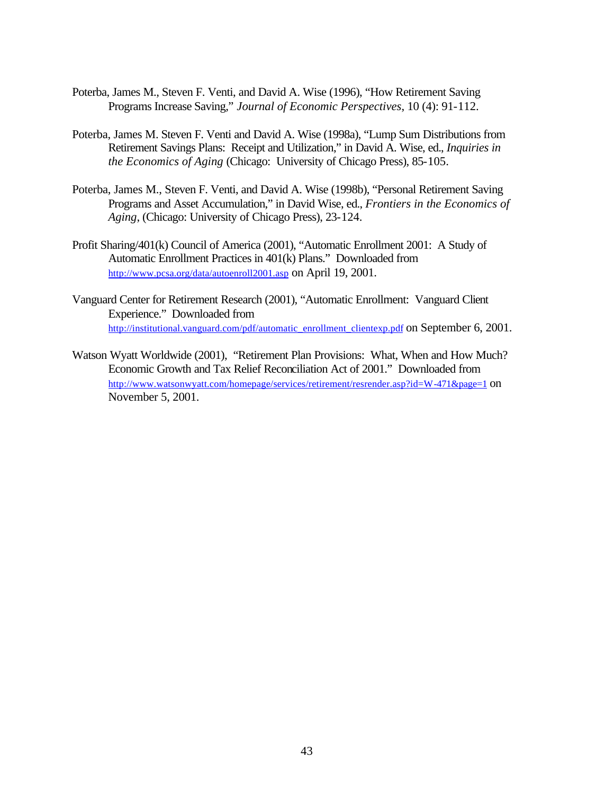- Poterba, James M., Steven F. Venti, and David A. Wise (1996), "How Retirement Saving Programs Increase Saving," *Journal of Economic Perspectives*, 10 (4): 91-112.
- Poterba, James M. Steven F. Venti and David A. Wise (1998a), "Lump Sum Distributions from Retirement Savings Plans: Receipt and Utilization," in David A. Wise, ed., *Inquiries in the Economics of Aging* (Chicago: University of Chicago Press), 85-105.
- Poterba, James M., Steven F. Venti, and David A. Wise (1998b), "Personal Retirement Saving Programs and Asset Accumulation," in David Wise, ed., *Frontiers in the Economics of Aging*, (Chicago: University of Chicago Press), 23-124.
- Profit Sharing/401(k) Council of America (2001), "Automatic Enrollment 2001: A Study of Automatic Enrollment Practices in 401(k) Plans." Downloaded from http://www.pcsa.org/data/autoenroll2001.asp on April 19, 2001.
- Vanguard Center for Retirement Research (2001), "Automatic Enrollment: Vanguard Client Experience." Downloaded from http://institutional.vanguard.com/pdf/automatic\_enrollment\_clientexp.pdf on September 6, 2001.
- Watson Wyatt Worldwide (2001), "Retirement Plan Provisions: What, When and How Much? Economic Growth and Tax Relief Reconciliation Act of 2001." Downloaded from http://www.watsonwyatt.com/homepage/services/retirement/resrender.asp?id=W-471&page=1 on November 5, 2001.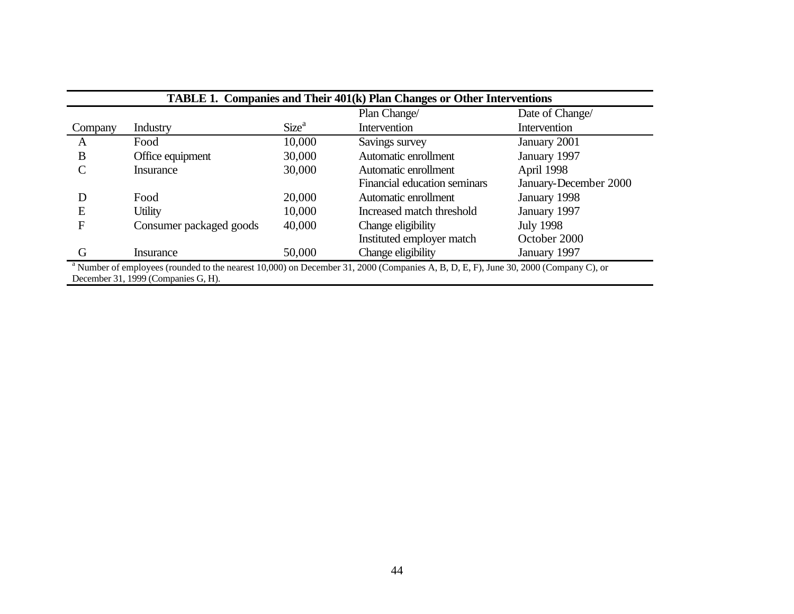| TABLE 1. Companies and Their 401(k) Plan Changes or Other Interventions                                                                                                               |                         |                   |                              |                       |
|---------------------------------------------------------------------------------------------------------------------------------------------------------------------------------------|-------------------------|-------------------|------------------------------|-----------------------|
|                                                                                                                                                                                       |                         |                   | Plan Change/                 | Date of Change/       |
| Company                                                                                                                                                                               | Industry                | Size <sup>a</sup> | Intervention                 | Intervention          |
| A                                                                                                                                                                                     | Food                    | 10,000            | Savings survey               | January 2001          |
| B                                                                                                                                                                                     | Office equipment        | 30,000            | Automatic enrollment         | January 1997          |
|                                                                                                                                                                                       | Insurance               | 30,000            | Automatic enrollment         | April 1998            |
|                                                                                                                                                                                       |                         |                   | Financial education seminars | January-December 2000 |
| D                                                                                                                                                                                     | Food                    | 20,000            | Automatic enrollment         | January 1998          |
| E                                                                                                                                                                                     | <b>Utility</b>          | 10,000            | Increased match threshold    | January 1997          |
| F                                                                                                                                                                                     | Consumer packaged goods | 40,000            | Change eligibility           | <b>July 1998</b>      |
|                                                                                                                                                                                       |                         |                   | Instituted employer match    | October 2000          |
| G                                                                                                                                                                                     | Insurance               | 50,000            | Change eligibility           | January 1997          |
| <sup>a</sup> Number of employees (rounded to the nearest 10,000) on December 31, 2000 (Companies A, B, D, E, F), June 30, 2000 (Company C), or<br>December 31, 1999 (Companies G, H). |                         |                   |                              |                       |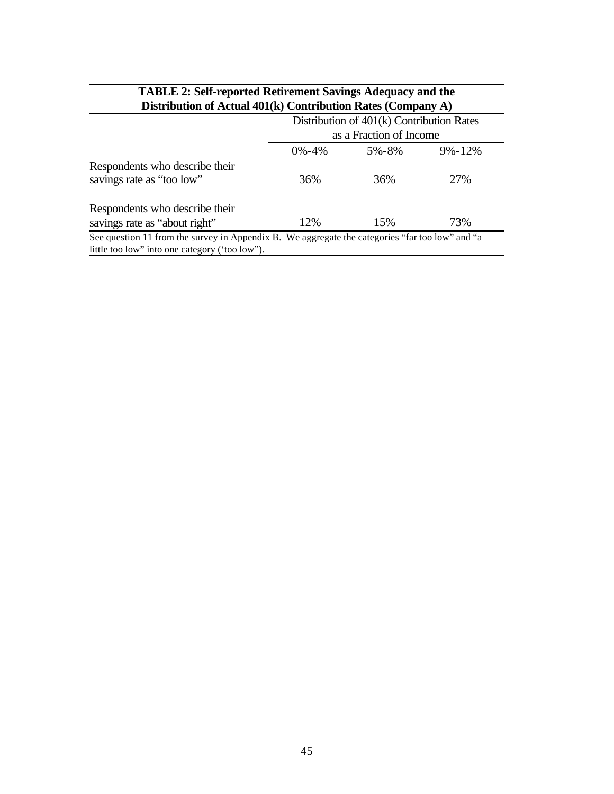|                                                                                                 | Distribution of 401(k) Contribution Rates<br>as a Fraction of Income |             |              |  |
|-------------------------------------------------------------------------------------------------|----------------------------------------------------------------------|-------------|--------------|--|
|                                                                                                 | $0\% - 4\%$                                                          | $5\% - 8\%$ | $9\% - 12\%$ |  |
| Respondents who describe their                                                                  |                                                                      |             |              |  |
| savings rate as "too low"                                                                       | 36%                                                                  | 36%         | 27%          |  |
| Respondents who describe their                                                                  |                                                                      |             |              |  |
| savings rate as "about right"                                                                   | 12%                                                                  | 15%         | 73%          |  |
| See question 11 from the survey in Appendix B. We aggregate the categories "far too low" and "a |                                                                      |             |              |  |
| little too low" into one category ('too low").                                                  |                                                                      |             |              |  |

# **TABLE 2: Self-reported Retirement Savings Adequacy and the Distribution of Actual 401(k) Contribution Rates (Company A)**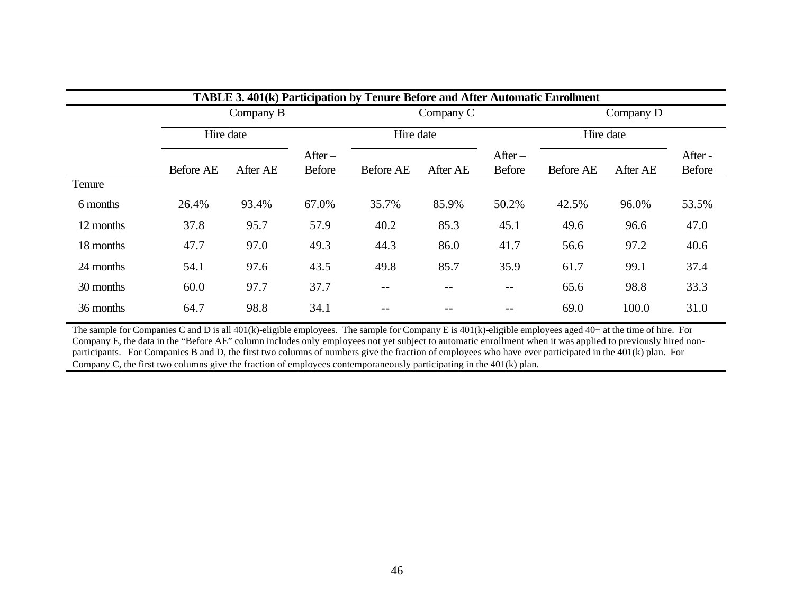| TABLE 3. 401(k) Participation by Tenure Before and After Automatic Enrollment |                  |          |                            |                  |          |                            |                  |          |                          |
|-------------------------------------------------------------------------------|------------------|----------|----------------------------|------------------|----------|----------------------------|------------------|----------|--------------------------|
|                                                                               | Company B        |          |                            | Company C        |          | Company D                  |                  |          |                          |
|                                                                               | Hire date        |          | Hire date                  |                  |          |                            | Hire date        |          |                          |
|                                                                               | <b>Before AE</b> | After AE | $After -$<br><b>Before</b> | <b>Before AE</b> | After AE | $After -$<br><b>Before</b> | <b>Before AE</b> | After AE | After -<br><b>Before</b> |
| Tenure                                                                        |                  |          |                            |                  |          |                            |                  |          |                          |
| 6 months                                                                      | 26.4%            | 93.4%    | 67.0%                      | 35.7%            | 85.9%    | 50.2%                      | 42.5%            | 96.0%    | 53.5%                    |
| 12 months                                                                     | 37.8             | 95.7     | 57.9                       | 40.2             | 85.3     | 45.1                       | 49.6             | 96.6     | 47.0                     |
| 18 months                                                                     | 47.7             | 97.0     | 49.3                       | 44.3             | 86.0     | 41.7                       | 56.6             | 97.2     | 40.6                     |
| 24 months                                                                     | 54.1             | 97.6     | 43.5                       | 49.8             | 85.7     | 35.9                       | 61.7             | 99.1     | 37.4                     |
| 30 months                                                                     | 60.0             | 97.7     | 37.7                       | $- -$            | $- -$    | --                         | 65.6             | 98.8     | 33.3                     |
| 36 months                                                                     | 64.7             | 98.8     | 34.1                       | $- -$            |          | --                         | 69.0             | 100.0    | 31.0                     |

The sample for Companies C and D is all 401(k)-eligible employees. The sample for Company E is 401(k)-eligible employees aged 40+ at the time of hire. For Company E, the data in the "Before AE" column includes only employees not yet subject to automatic enrollment when it was applied to previously hired nonparticipants. For Companies B and D, the first two columns of numbers give the fraction of employees who have ever participated in the 401(k) plan. For Company C, the first two columns give the fraction of employees contemporaneously participating in the 401(k) plan.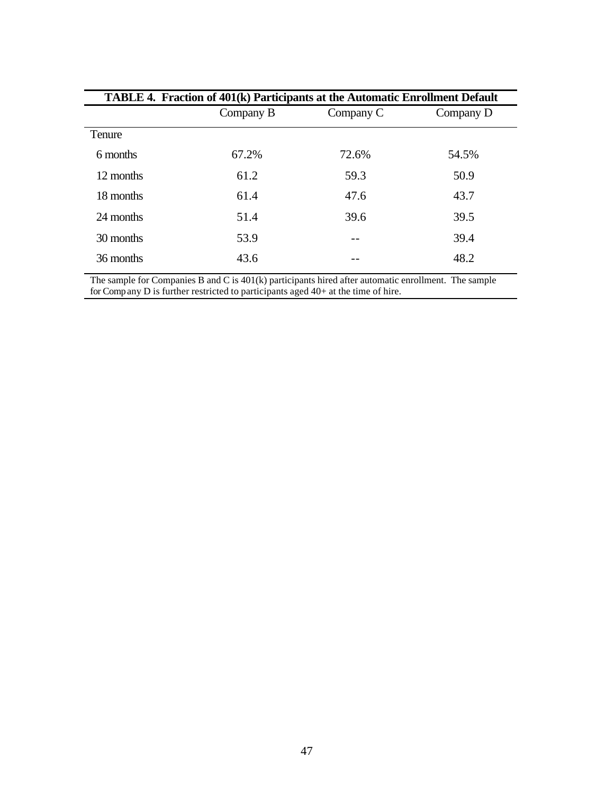| TABLE 4. Fraction of 401(k) Participants at the Automatic Enrollment Default |           |           |           |  |
|------------------------------------------------------------------------------|-----------|-----------|-----------|--|
|                                                                              | Company B | Company C | Company D |  |
| <b>Tenure</b>                                                                |           |           |           |  |
| 6 months                                                                     | 67.2%     | 72.6%     | 54.5%     |  |
| 12 months                                                                    | 61.2      | 59.3      | 50.9      |  |
| 18 months                                                                    | 61.4      | 47.6      | 43.7      |  |
| 24 months                                                                    | 51.4      | 39.6      | 39.5      |  |
| 30 months                                                                    | 53.9      | --        | 39.4      |  |
| 36 months                                                                    | 43.6      |           | 48.2      |  |
|                                                                              |           |           |           |  |

The sample for Companies B and C is 401(k) participants hired after automatic enrollment. The sample for Company D is further restricted to participants aged 40+ at the time of hire.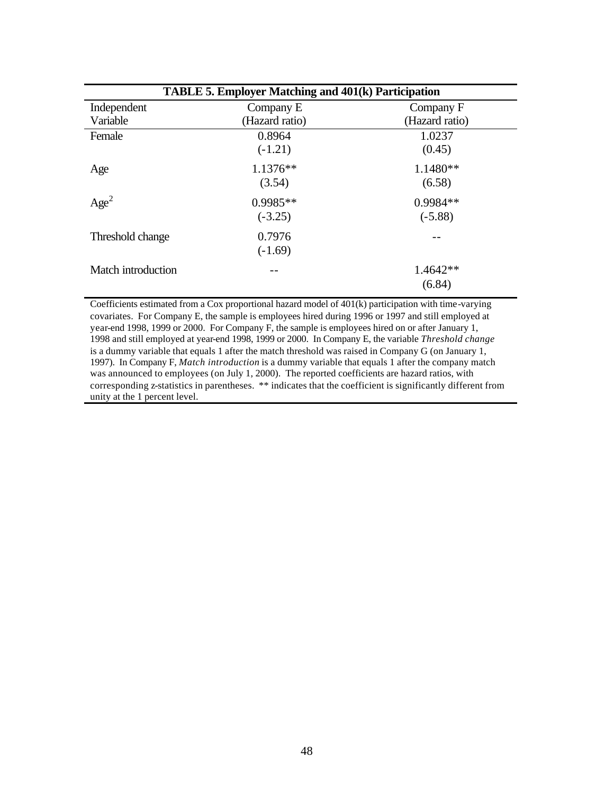| <b>TABLE 5. Employer Matching and 401(k) Participation</b> |                |                |  |  |
|------------------------------------------------------------|----------------|----------------|--|--|
| Independent                                                | Company E      | Company F      |  |  |
| Variable                                                   | (Hazard ratio) | (Hazard ratio) |  |  |
| Female                                                     | 0.8964         | 1.0237         |  |  |
|                                                            | $(-1.21)$      | (0.45)         |  |  |
| Age                                                        | 1.1376**       | 1.1480**       |  |  |
|                                                            | (3.54)         | (6.58)         |  |  |
| Age <sup>2</sup>                                           | 0.9985**       | 0.9984**       |  |  |
|                                                            | $(-3.25)$      | $(-5.88)$      |  |  |
| Threshold change                                           | 0.7976         |                |  |  |
|                                                            | $(-1.69)$      |                |  |  |
| Match introduction                                         |                | $1.4642**$     |  |  |
|                                                            |                | (6.84)         |  |  |

Coefficients estimated from a Cox proportional hazard model of 401(k) participation with time-varying covariates. For Company E, the sample is employees hired during 1996 or 1997 and still employed at year-end 1998, 1999 or 2000. For Company F, the sample is employees hired on or after January 1, 1998 and still employed at year-end 1998, 1999 or 2000. In Company E, the variable *Threshold change* is a dummy variable that equals 1 after the match threshold was raised in Company G (on January 1, 1997). In Company F, *Match introduction* is a dummy variable that equals 1 after the company match was announced to employees (on July 1, 2000). The reported coefficients are hazard ratios, with corresponding z-statistics in parentheses. \*\* indicates that the coefficient is significantly different from unity at the 1 percent level.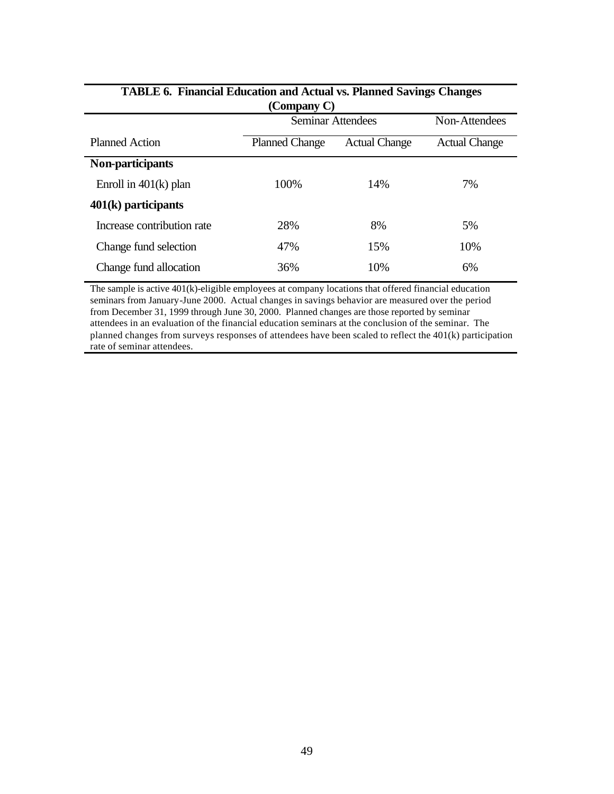| (Company $C$ )             |                          |                      |                      |  |
|----------------------------|--------------------------|----------------------|----------------------|--|
|                            | <b>Seminar Attendees</b> |                      | Non-Attendees        |  |
| <b>Planned Action</b>      | <b>Planned Change</b>    | <b>Actual Change</b> | <b>Actual Change</b> |  |
| Non-participants           |                          |                      |                      |  |
| Enroll in $401(k)$ plan    | 100\%                    | 14%                  | 7%                   |  |
| $401(k)$ participants      |                          |                      |                      |  |
| Increase contribution rate | 28%                      | 8%                   | 5%                   |  |
| Change fund selection      | 47%                      | 15%                  | 10%                  |  |
| Change fund allocation     | 36%                      | 10%                  | 6%                   |  |

# **TABLE 6. Financial Education and Actual vs. Planned Savings Changes**

The sample is active 401(k)-eligible employees at company locations that offered financial education seminars from January-June 2000. Actual changes in savings behavior are measured over the period from December 31, 1999 through June 30, 2000. Planned changes are those reported by seminar attendees in an evaluation of the financial education seminars at the conclusion of the seminar. The planned changes from surveys responses of attendees have been scaled to reflect the 401(k) participation rate of seminar attendees.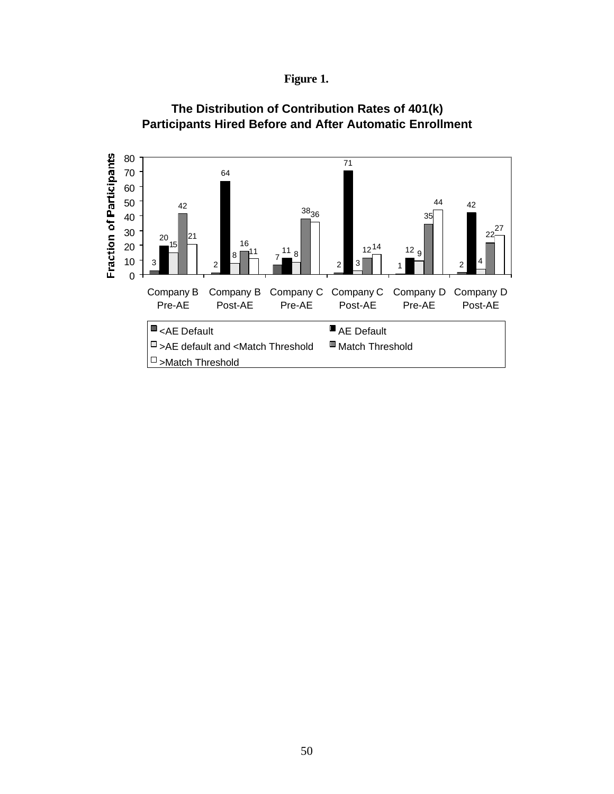



# **The Distribution of Contribution Rates of 401(k) Participants Hired Before and After Automatic Enrollment**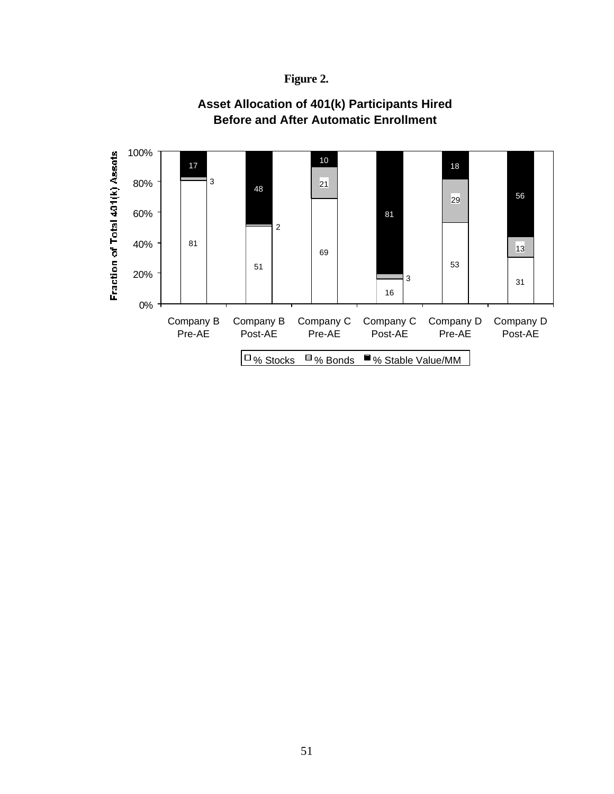

# **Asset Allocation of 401(k) Participants Hired Before and After Automatic Enrollment**

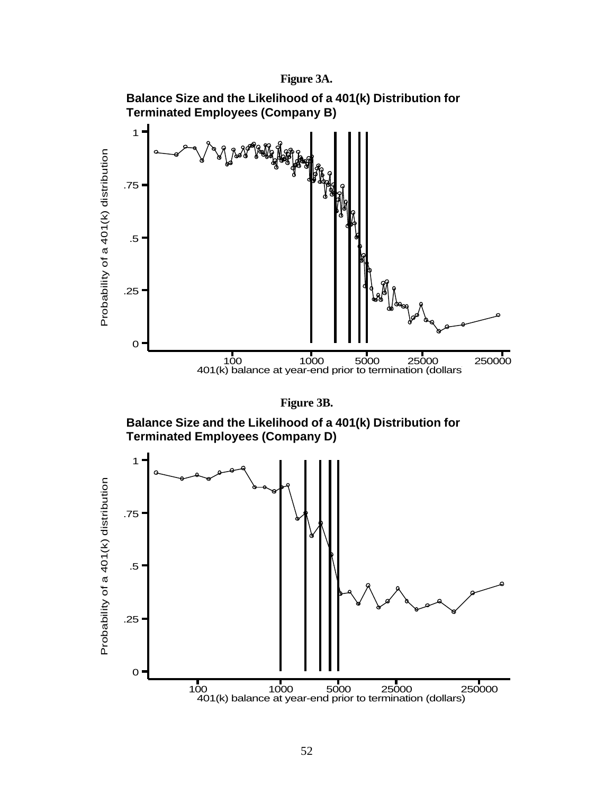# **Figure 3A.**





**Balance Size and the Likelihood of a 401(k) Distribution for Terminated Employees (Company D)**



**Balance Size and the Likelihood of a 401(k) Distribution for**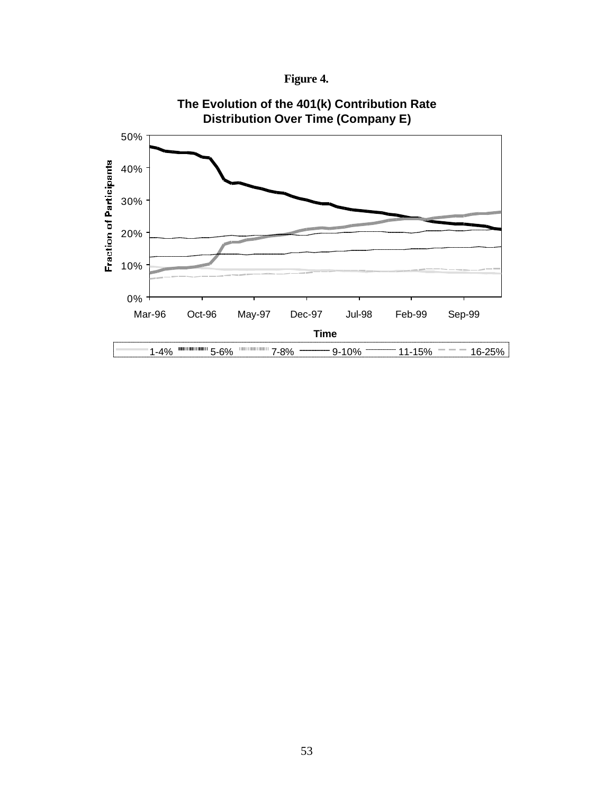**Figure 4.**

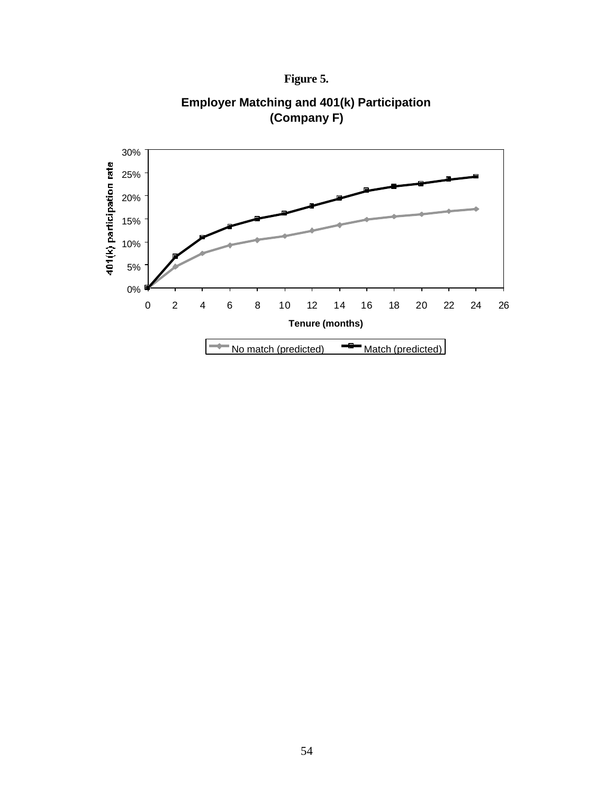



**Employer Matching and 401(k) Participation (Company F)**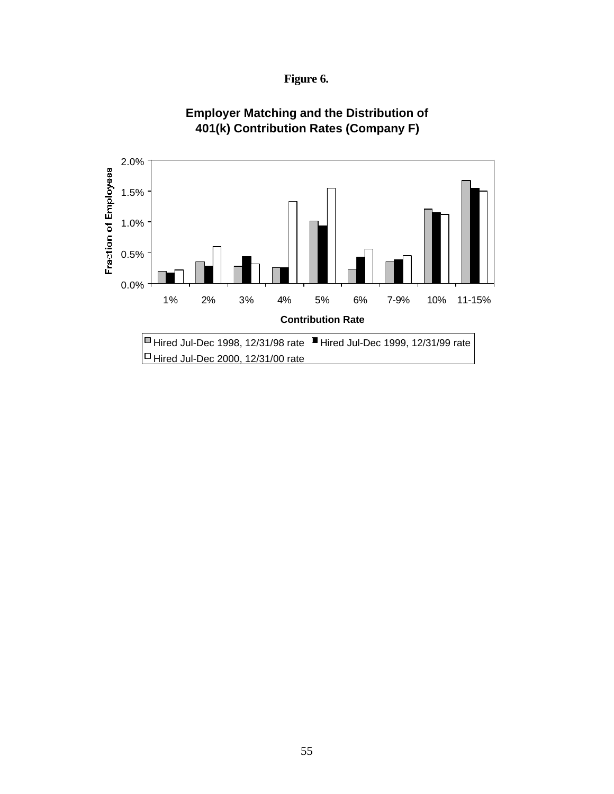



# **Employer Matching and the Distribution of 401(k) Contribution Rates (Company F)**